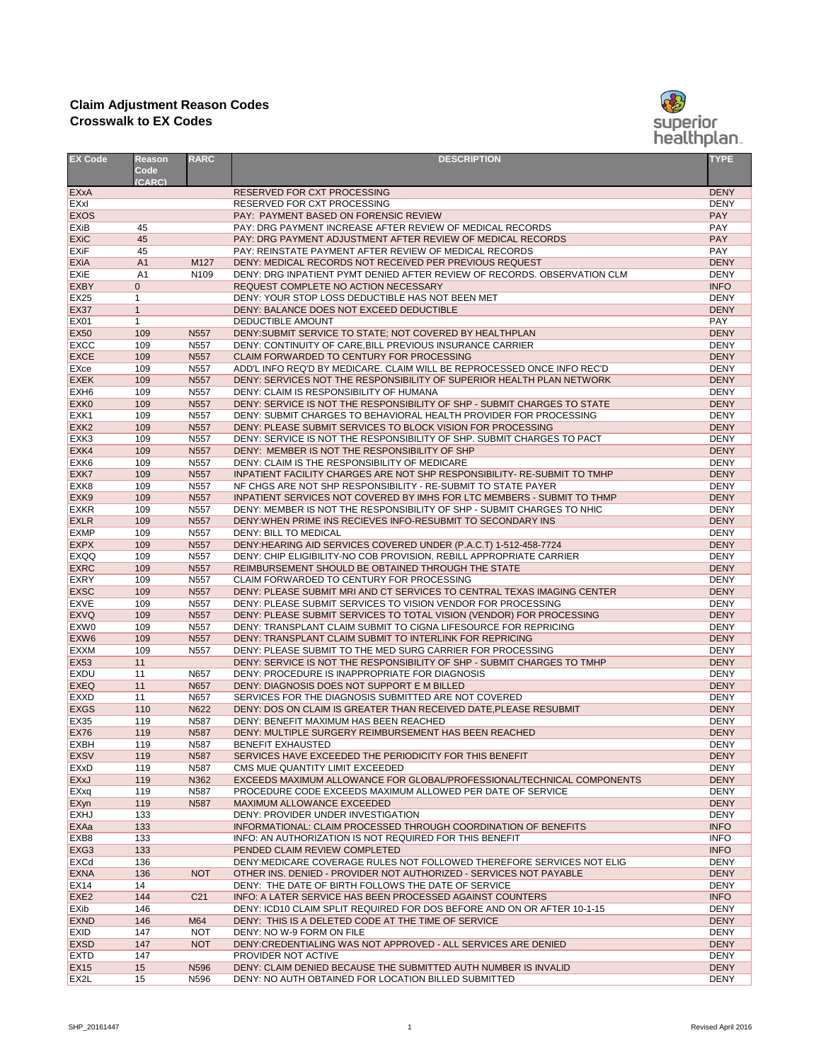| <b>EX Code</b>                        | <b>Reason</b><br>Code<br>(CARC)  | <b>RARC</b>                          | <b>DESCRIPTION</b>                                                                                                                    | <b>TYPE</b>                |
|---------------------------------------|----------------------------------|--------------------------------------|---------------------------------------------------------------------------------------------------------------------------------------|----------------------------|
| EXxA                                  |                                  |                                      | RESERVED FOR CXT PROCESSING                                                                                                           | <b>DENY</b>                |
| <b>EXxI</b>                           |                                  |                                      | RESERVED FOR CXT PROCESSING                                                                                                           | <b>DENY</b>                |
| <b>EXOS</b>                           |                                  |                                      | PAY: PAYMENT BASED ON FORENSIC REVIEW                                                                                                 | <b>PAY</b>                 |
| <b>EXiB</b>                           | 45                               |                                      | PAY: DRG PAYMENT INCREASE AFTER REVIEW OF MEDICAL RECORDS                                                                             | <b>PAY</b>                 |
| <b>EXiC</b>                           | 45                               |                                      | PAY: DRG PAYMENT ADJUSTMENT AFTER REVIEW OF MEDICAL RECORDS                                                                           | <b>PAY</b>                 |
| <b>EXiF</b>                           | 45                               |                                      | PAY: REINSTATE PAYMENT AFTER REVIEW OF MEDICAL RECORDS                                                                                | <b>PAY</b>                 |
| <b>EXiA</b><br><b>EX<sub>i</sub>E</b> | A <sub>1</sub>                   | M127<br>N <sub>109</sub>             | DENY: MEDICAL RECORDS NOT RECEIVED PER PREVIOUS REQUEST                                                                               | <b>DENY</b><br><b>DENY</b> |
| <b>EXBY</b>                           | A <sub>1</sub><br>$\overline{0}$ |                                      | DENY: DRG INPATIENT PYMT DENIED AFTER REVIEW OF RECORDS. OBSERVATION CLM<br>REQUEST COMPLETE NO ACTION NECESSARY                      | <b>INFO</b>                |
| <b>EX25</b>                           |                                  |                                      | DENY: YOUR STOP LOSS DEDUCTIBLE HAS NOT BEEN MET                                                                                      | <b>DENY</b>                |
| <b>EX37</b>                           | $\mathbf{1}$                     |                                      | DENY: BALANCE DOES NOT EXCEED DEDUCTIBLE                                                                                              | <b>DENY</b>                |
| <b>EX01</b>                           | $\mathbf 1$                      |                                      | DEDUCTIBLE AMOUNT                                                                                                                     | <b>PAY</b>                 |
| <b>EX50</b>                           | 109                              | N <sub>557</sub>                     | DENY: SUBMIT SERVICE TO STATE; NOT COVERED BY HEALTHPLAN                                                                              | <b>DENY</b>                |
| <b>EXCC</b>                           | 109                              | N <sub>557</sub>                     | DENY: CONTINUITY OF CARE, BILL PREVIOUS INSURANCE CARRIER                                                                             | <b>DENY</b>                |
| <b>EXCE</b>                           | 109                              | N <sub>557</sub>                     | CLAIM FORWARDED TO CENTURY FOR PROCESSING                                                                                             | <b>DENY</b>                |
| <b>EXce</b>                           | 109                              | N557                                 | ADD'L INFO REQ'D BY MEDICARE. CLAIM WILL BE REPROCESSED ONCE INFO REC'D                                                               | <b>DENY</b>                |
| <b>EXEK</b>                           | 109                              | N557                                 | DENY: SERVICES NOT THE RESPONSIBILITY OF SUPERIOR HEALTH PLAN NETWORK                                                                 | <b>DENY</b>                |
| EXH <sub>6</sub>                      | 109                              | N <sub>557</sub>                     | DENY: CLAIM IS RESPONSIBILITY OF HUMANA                                                                                               | <b>DENY</b>                |
| EXK <sub>0</sub>                      | 109                              | N557                                 | DENY: SERVICE IS NOT THE RESPONSIBILITY OF SHP - SUBMIT CHARGES TO STATE                                                              | <b>DENY</b>                |
| EXK <sub>1</sub>                      | 109                              | N <sub>557</sub>                     | DENY: SUBMIT CHARGES TO BEHAVIORAL HEALTH PROVIDER FOR PROCESSING                                                                     | <b>DENY</b>                |
| EXK <sub>2</sub>                      | 109                              | N <sub>557</sub>                     | DENY: PLEASE SUBMIT SERVICES TO BLOCK VISION FOR PROCESSING                                                                           | <b>DENY</b>                |
| EXK <sub>3</sub>                      | 109                              | N <sub>557</sub>                     | DENY: SERVICE IS NOT THE RESPONSIBILITY OF SHP. SUBMIT CHARGES TO PACT                                                                | <b>DENY</b>                |
| EXK4                                  | 109                              | N <sub>557</sub>                     | DENY: MEMBER IS NOT THE RESPONSIBILITY OF SHP                                                                                         | <b>DENY</b>                |
| EXK <sub>6</sub>                      | 109                              | N <sub>557</sub>                     | DENY: CLAIM IS THE RESPONSIBILITY OF MEDICARE                                                                                         | <b>DENY</b>                |
| EXK7                                  | 109                              | N <sub>557</sub>                     | <b>INPATIENT FACILITY CHARGES ARE NOT SHP RESPONSIBILITY- RE-SUBMIT TO TMHP</b>                                                       | <b>DENY</b>                |
| EXK <sub>8</sub>                      | 109                              | N <sub>557</sub>                     | NF CHGS ARE NOT SHP RESPONSIBILITY - RE-SUBMIT TO STATE PAYER                                                                         | <b>DENY</b>                |
| EXK <sub>9</sub>                      | 109                              | N <sub>557</sub>                     | INPATIENT SERVICES NOT COVERED BY IMHS FOR LTC MEMBERS - SUBMIT TO THMP                                                               | <b>DENY</b>                |
| <b>EXKR</b>                           | 109                              | N <sub>557</sub>                     | DENY: MEMBER IS NOT THE RESPONSIBILITY OF SHP - SUBMIT CHARGES TO NHIC                                                                | <b>DENY</b>                |
| <b>EXLR</b>                           | 109                              | N <sub>557</sub>                     | DENY: WHEN PRIME INS RECIEVES INFO-RESUBMIT TO SECONDARY INS                                                                          | <b>DENY</b>                |
| <b>EXMP</b>                           | 109                              | N <sub>557</sub>                     | <b>DENY: BILL TO MEDICAL</b>                                                                                                          | <b>DENY</b>                |
| <b>EXPX</b>                           | 109                              | N <sub>557</sub>                     | DENY: HEARING AID SERVICES COVERED UNDER (P.A.C.T) 1-512-458-7724                                                                     | <b>DENY</b>                |
| <b>EXQQ</b>                           | 109                              | N557                                 | DENY: CHIP ELIGIBILITY-NO COB PROVISION, REBILL APPROPRIATE CARRIER                                                                   | <b>DENY</b>                |
| <b>EXRC</b>                           | 109                              | N <sub>557</sub>                     | REIMBURSEMENT SHOULD BE OBTAINED THROUGH THE STATE                                                                                    | <b>DENY</b>                |
| <b>EXRY</b>                           | 109                              | N <sub>557</sub>                     | CLAIM FORWARDED TO CENTURY FOR PROCESSING                                                                                             | <b>DENY</b>                |
| <b>EXSC</b>                           | 109                              | N <sub>557</sub>                     | DENY: PLEASE SUBMIT MRI AND CT SERVICES TO CENTRAL TEXAS IMAGING CENTER                                                               | <b>DENY</b>                |
| <b>EXVE</b>                           | 109                              | N <sub>557</sub>                     | DENY: PLEASE SUBMIT SERVICES TO VISION VENDOR FOR PROCESSING                                                                          | <b>DENY</b>                |
| <b>EXVQ</b>                           | 109                              | N <sub>557</sub>                     | DENY: PLEASE SUBMIT SERVICES TO TOTAL VISION (VENDOR) FOR PROCESSING                                                                  | <b>DENY</b>                |
| EXW0                                  | 109                              | N <sub>557</sub>                     | DENY: TRANSPLANT CLAIM SUBMIT TO CIGNA LIFESOURCE FOR REPRICING                                                                       | <b>DENY</b>                |
| EXW <sub>6</sub>                      | 109<br>109                       | N <sub>557</sub><br>N <sub>557</sub> | DENY: TRANSPLANT CLAIM SUBMIT TO INTERLINK FOR REPRICING                                                                              | <b>DENY</b><br><b>DENY</b> |
| <b>EXXM</b><br><b>EX53</b>            | 11                               |                                      | DENY: PLEASE SUBMIT TO THE MED SURG CARRIER FOR PROCESSING<br>DENY: SERVICE IS NOT THE RESPONSIBILITY OF SHP - SUBMIT CHARGES TO TMHP | <b>DENY</b>                |
| <b>EXDU</b>                           | 11                               | N657                                 | DENY: PROCEDURE IS INAPPROPRIATE FOR DIAGNOSIS                                                                                        | <b>DENY</b>                |
| <b>EXEQ</b>                           | 11                               | N657                                 | DENY: DIAGNOSIS DOES NOT SUPPORT E M BILLED                                                                                           | <b>DENY</b>                |
| <b>EXXD</b>                           | 11                               | N657                                 | SERVICES FOR THE DIAGNOSIS SUBMITTED ARE NOT COVERED                                                                                  | <b>DENY</b>                |
| <b>EXGS</b>                           | 110                              | N622                                 | DENY: DOS ON CLAIM IS GREATER THAN RECEIVED DATE, PLEASE RESUBMIT                                                                     | <b>DENY</b>                |
| <b>EX35</b>                           | 119                              | N587                                 | DENY: BENEFIT MAXIMUM HAS BEEN REACHED                                                                                                | <b>DENY</b>                |
| <b>EX76</b>                           | 119                              | N587                                 | DENY: MULTIPLE SURGERY REIMBURSEMENT HAS BEEN REACHED                                                                                 | <b>DENY</b>                |
| <b>EXBH</b>                           | 119                              | N587                                 | <b>BENEFIT EXHAUSTED</b>                                                                                                              | <b>DENY</b>                |
| <b>EXSV</b>                           | 119                              | N587                                 | SERVICES HAVE EXCEEDED THE PERIODICITY FOR THIS BENEFIT                                                                               | <b>DENY</b>                |
| <b>EXxD</b>                           | 119                              | N587                                 | CMS MUE QUANTITY LIMIT EXCEEDED                                                                                                       | <b>DENY</b>                |
| <b>EXxJ</b>                           | 119                              | N362                                 | EXCEEDS MAXIMUM ALLOWANCE FOR GLOBAL/PROFESSIONAL/TECHNICAL COMPONENTS                                                                | <b>DENY</b>                |
| EXxq                                  | 119                              | N587                                 | PROCEDURE CODE EXCEEDS MAXIMUM ALLOWED PER DATE OF SERVICE                                                                            | <b>DENY</b>                |
| EXyn                                  | 119                              | <b>N587</b>                          | <b>MAXIMUM ALLOWANCE EXCEEDED</b>                                                                                                     | <b>DENY</b>                |
| <b>EXHJ</b>                           | 133                              |                                      | DENY: PROVIDER UNDER INVESTIGATION                                                                                                    | <b>DENY</b>                |
| <b>EXAa</b>                           | 133                              |                                      | INFORMATIONAL: CLAIM PROCESSED THROUGH COORDINATION OF BENEFITS                                                                       | <b>INFO</b>                |
| EXB <sub>8</sub>                      | 133                              |                                      | INFO: AN AUTHORIZATION IS NOT REQUIRED FOR THIS BENEFIT                                                                               | <b>INFO</b>                |
| EXG <sub>3</sub>                      | 133                              |                                      | PENDED CLAIM REVIEW COMPLETED                                                                                                         | <b>INFO</b>                |
| <b>EXCd</b>                           | 136                              |                                      | DENY:MEDICARE COVERAGE RULES NOT FOLLOWED THEREFORE SERVICES NOT ELIG                                                                 | <b>DENY</b>                |
| <b>EXNA</b>                           | 136                              | <b>NOT</b>                           | OTHER INS. DENIED - PROVIDER NOT AUTHORIZED - SERVICES NOT PAYABLE                                                                    | <b>DENY</b>                |
| <b>EX14</b>                           | 14                               |                                      | DENY: THE DATE OF BIRTH FOLLOWS THE DATE OF SERVICE                                                                                   | <b>DENY</b>                |
| EXE <sub>2</sub>                      | 144                              | C <sub>21</sub>                      | INFO: A LATER SERVICE HAS BEEN PROCESSED AGAINST COUNTERS                                                                             | <b>INFO</b>                |
| <b>EXib</b>                           | 146                              |                                      | DENY: ICD10 CLAIM SPLIT REQUIRED FOR DOS BEFORE AND ON OR AFTER 10-1-15                                                               | <b>DENY</b>                |
| <b>EXND</b>                           | 146                              | M64                                  | DENY: THIS IS A DELETED CODE AT THE TIME OF SERVICE                                                                                   | <b>DENY</b>                |
| <b>EXID</b>                           | 147                              | <b>NOT</b>                           | DENY: NO W-9 FORM ON FILE                                                                                                             | <b>DENY</b>                |
| <b>EXSD</b>                           | 147                              | <b>NOT</b>                           | DENY:CREDENTIALING WAS NOT APPROVED - ALL SERVICES ARE DENIED                                                                         | <b>DENY</b>                |
| <b>EXTD</b>                           | 147                              |                                      | PROVIDER NOT ACTIVE                                                                                                                   | <b>DENY</b>                |
| <b>EX15</b>                           | 15                               | N596                                 | DENY: CLAIM DENIED BECAUSE THE SUBMITTED AUTH NUMBER IS INVALID                                                                       | <b>DENY</b>                |
| EX2L                                  | 15                               | N596                                 | DENY: NO AUTH OBTAINED FOR LOCATION BILLED SUBMITTED                                                                                  | <b>DENY</b>                |

## **Claim Adjustment Reason Codes Crosswalk to EX Codes**

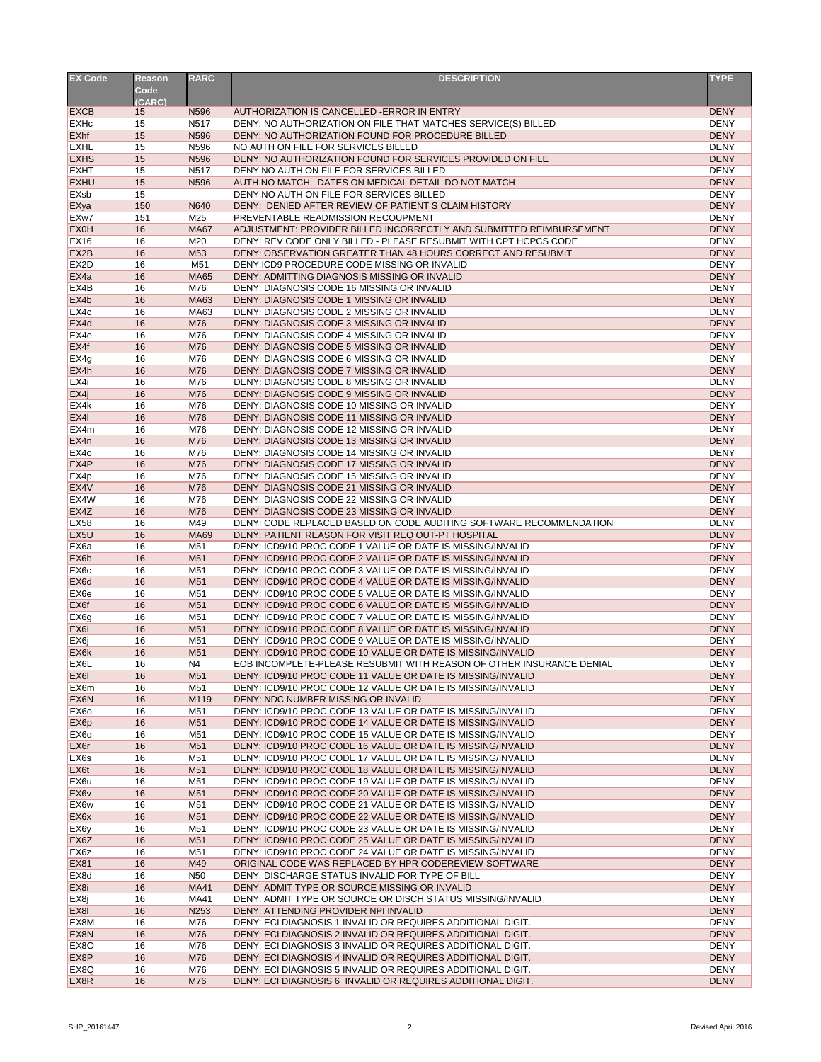| <b>EX Code</b>    | <b>Reason</b> | <b>RARC</b>      | <b>DESCRIPTION</b>                                                   | <b>TYPE</b> |
|-------------------|---------------|------------------|----------------------------------------------------------------------|-------------|
|                   | <b>Code</b>   |                  |                                                                      |             |
|                   | (CARC)        |                  |                                                                      |             |
| <b>EXCB</b>       | 15            | N <sub>596</sub> | AUTHORIZATION IS CANCELLED - ERROR IN ENTRY                          | <b>DENY</b> |
| <b>EXHc</b>       | 15            | N517             | DENY: NO AUTHORIZATION ON FILE THAT MATCHES SERVICE(S) BILLED        | <b>DENY</b> |
| <b>EXhf</b>       | 15            | N596             | DENY: NO AUTHORIZATION FOUND FOR PROCEDURE BILLED                    | <b>DENY</b> |
| <b>EXHL</b>       | 15            | N596             | NO AUTH ON FILE FOR SERVICES BILLED                                  | <b>DENY</b> |
| <b>EXHS</b>       | 15            | N596             | DENY: NO AUTHORIZATION FOUND FOR SERVICES PROVIDED ON FILE           | <b>DENY</b> |
| <b>EXHT</b>       | 15            | N517             | DENY:NO AUTH ON FILE FOR SERVICES BILLED                             | <b>DENY</b> |
| <b>EXHU</b>       | 15            | N596             | AUTH NO MATCH: DATES ON MEDICAL DETAIL DO NOT MATCH                  | <b>DENY</b> |
| <b>EXsb</b>       | 15            |                  | DENY:NO AUTH ON FILE FOR SERVICES BILLED                             | <b>DENY</b> |
| EXya              | 150           | N640             | DENY: DENIED AFTER REVIEW OF PATIENT S CLAIM HISTORY                 | <b>DENY</b> |
| EXw7              | 151           | M25              | PREVENTABLE READMISSION RECOUPMENT                                   | <b>DENY</b> |
| <b>EX0H</b>       | 16            | <b>MA67</b>      | ADJUSTMENT: PROVIDER BILLED INCORRECTLY AND SUBMITTED REIMBURSEMENT  | <b>DENY</b> |
| <b>EX16</b>       | 16            | M20              | DENY: REV CODE ONLY BILLED - PLEASE RESUBMIT WITH CPT HCPCS CODE     | <b>DENY</b> |
| EX2B              | 16            | M53              | DENY: OBSERVATION GREATER THAN 48 HOURS CORRECT AND RESUBMIT         | <b>DENY</b> |
| EX <sub>2</sub> D | 16            | M51              | DENY:ICD9 PROCEDURE CODE MISSING OR INVALID                          | <b>DENY</b> |
| EX4a              | 16            | <b>MA65</b>      | DENY: ADMITTING DIAGNOSIS MISSING OR INVALID                         | <b>DENY</b> |
| EX4B              | 16            | M76              | DENY: DIAGNOSIS CODE 16 MISSING OR INVALID                           | <b>DENY</b> |
|                   |               |                  | DENY: DIAGNOSIS CODE 1 MISSING OR INVALID                            | <b>DENY</b> |
| EX4b              | 16            | <b>MA63</b>      |                                                                      |             |
| EX4c              | 16            | MA63             | DENY: DIAGNOSIS CODE 2 MISSING OR INVALID                            | <b>DENY</b> |
| EX4d              | 16            | M76              | DENY: DIAGNOSIS CODE 3 MISSING OR INVALID                            | <b>DENY</b> |
| EX4e              | 16            | M76              | DENY: DIAGNOSIS CODE 4 MISSING OR INVALID                            | <b>DENY</b> |
| EX4f              | 16            | M76              | DENY: DIAGNOSIS CODE 5 MISSING OR INVALID                            | <b>DENY</b> |
| EX4g              | 16            | M76              | DENY: DIAGNOSIS CODE 6 MISSING OR INVALID                            | <b>DENY</b> |
| EX4h              | 16            | M76              | DENY: DIAGNOSIS CODE 7 MISSING OR INVALID                            | <b>DENY</b> |
| EX4i              | 16            | M76              | DENY: DIAGNOSIS CODE 8 MISSING OR INVALID                            | <b>DENY</b> |
| EX4j              | 16            | M76              | DENY: DIAGNOSIS CODE 9 MISSING OR INVALID                            | <b>DENY</b> |
| EX4k              | 16            | M76              | DENY: DIAGNOSIS CODE 10 MISSING OR INVALID                           | <b>DENY</b> |
| EX4I              | 16            | M76              | DENY: DIAGNOSIS CODE 11 MISSING OR INVALID                           | <b>DENY</b> |
| EX4m              | 16            | M76              | DENY: DIAGNOSIS CODE 12 MISSING OR INVALID                           | <b>DENY</b> |
| EX4n              | 16            | M76              | DENY: DIAGNOSIS CODE 13 MISSING OR INVALID                           | <b>DENY</b> |
| EX4o              | 16            | M76              | DENY: DIAGNOSIS CODE 14 MISSING OR INVALID                           | <b>DENY</b> |
| EX4P              | 16            | M76              | DENY: DIAGNOSIS CODE 17 MISSING OR INVALID                           | <b>DENY</b> |
| EX4p              | 16            | M76              | DENY: DIAGNOSIS CODE 15 MISSING OR INVALID                           | <b>DENY</b> |
| EX4V              | 16            | M76              | DENY: DIAGNOSIS CODE 21 MISSING OR INVALID                           | <b>DENY</b> |
| EX4W              | 16            | M76              | DENY: DIAGNOSIS CODE 22 MISSING OR INVALID                           | <b>DENY</b> |
| EX4Z              | 16            | M76              | DENY: DIAGNOSIS CODE 23 MISSING OR INVALID                           | <b>DENY</b> |
| <b>EX58</b>       | 16            | M49              | DENY: CODE REPLACED BASED ON CODE AUDITING SOFTWARE RECOMMENDATION   | <b>DENY</b> |
| EX <sub>5U</sub>  | 16            | <b>MA69</b>      | DENY: PATIENT REASON FOR VISIT REQ OUT-PT HOSPITAL                   | <b>DENY</b> |
|                   |               |                  |                                                                      |             |
| EX <sub>6</sub> a | 16            | M51              | DENY: ICD9/10 PROC CODE 1 VALUE OR DATE IS MISSING/INVALID           | <b>DENY</b> |
| EX6b              | 16            | M51              | DENY: ICD9/10 PROC CODE 2 VALUE OR DATE IS MISSING/INVALID           | <b>DENY</b> |
| EX <sub>6</sub> c | 16            | M51              | DENY: ICD9/10 PROC CODE 3 VALUE OR DATE IS MISSING/INVALID           | <b>DENY</b> |
| EX6d              | 16            | M51              | DENY: ICD9/10 PROC CODE 4 VALUE OR DATE IS MISSING/INVALID           | <b>DENY</b> |
| EX <sub>6e</sub>  | 16            | M51              | DENY: ICD9/10 PROC CODE 5 VALUE OR DATE IS MISSING/INVALID           | <b>DENY</b> |
| EX6f              | 16            | M <sub>51</sub>  | DENY: ICD9/10 PROC CODE 6 VALUE OR DATE IS MISSING/INVALID           | <b>DENY</b> |
| EX <sub>6g</sub>  | 16            | M51              | DENY: ICD9/10 PROC CODE 7 VALUE OR DATE IS MISSING/INVALID           | <b>DENY</b> |
| EX <sub>6i</sub>  | 16            | M51              | DENY: ICD9/10 PROC CODE 8 VALUE OR DATE IS MISSING/INVALID           | <b>DENY</b> |
| EX <sub>6</sub> j | 16            | M51              | DENY: ICD9/10 PROC CODE 9 VALUE OR DATE IS MISSING/INVALID           | <b>DENY</b> |
| EX6k              | 16            | M51              | DENY: ICD9/10 PROC CODE 10 VALUE OR DATE IS MISSING/INVALID          | <b>DENY</b> |
| EX <sub>6</sub> L | 16            | N <sub>4</sub>   | EOB INCOMPLETE-PLEASE RESUBMIT WITH REASON OF OTHER INSURANCE DENIAL | <b>DENY</b> |
| EX <sub>6</sub>   | 16            | M51              | DENY: ICD9/10 PROC CODE 11 VALUE OR DATE IS MISSING/INVALID          | <b>DENY</b> |
| EX6m              | 16            | M51              | DENY: ICD9/10 PROC CODE 12 VALUE OR DATE IS MISSING/INVALID          | <b>DENY</b> |
| EX6N              | 16            | M119             | DENY: NDC NUMBER MISSING OR INVALID                                  | <b>DENY</b> |
| EX <sub>60</sub>  | 16            | M51              | DENY: ICD9/10 PROC CODE 13 VALUE OR DATE IS MISSING/INVALID          | <b>DENY</b> |
| EX <sub>6</sub> p | 16            | M51              | DENY: ICD9/10 PROC CODE 14 VALUE OR DATE IS MISSING/INVALID          | <b>DENY</b> |
| EX <sub>6q</sub>  | 16            | M51              | DENY: ICD9/10 PROC CODE 15 VALUE OR DATE IS MISSING/INVALID          | <b>DENY</b> |
| EX <sub>6</sub> r | 16            | M <sub>51</sub>  | DENY: ICD9/10 PROC CODE 16 VALUE OR DATE IS MISSING/INVALID          | <b>DENY</b> |
| EX <sub>6s</sub>  | 16            | M51              | DENY: ICD9/10 PROC CODE 17 VALUE OR DATE IS MISSING/INVALID          | <b>DENY</b> |
| EX <sub>6t</sub>  | 16            | M <sub>51</sub>  | DENY: ICD9/10 PROC CODE 18 VALUE OR DATE IS MISSING/INVALID          | <b>DENY</b> |
| EX6u              | 16            | M51              | DENY: ICD9/10 PROC CODE 19 VALUE OR DATE IS MISSING/INVALID          | <b>DENY</b> |
| EX6v              | 16            | M51              | DENY: ICD9/10 PROC CODE 20 VALUE OR DATE IS MISSING/INVALID          | <b>DENY</b> |
| EX6w              | 16            | M51              | DENY: ICD9/10 PROC CODE 21 VALUE OR DATE IS MISSING/INVALID          | <b>DENY</b> |
| EX6x              | 16            | M <sub>51</sub>  | DENY: ICD9/10 PROC CODE 22 VALUE OR DATE IS MISSING/INVALID          | <b>DENY</b> |
|                   |               |                  |                                                                      |             |
| EX <sub>6y</sub>  | 16            | M51              | DENY: ICD9/10 PROC CODE 23 VALUE OR DATE IS MISSING/INVALID          | <b>DENY</b> |
| EX <sub>6</sub> Z | 16            | M <sub>51</sub>  | DENY: ICD9/10 PROC CODE 25 VALUE OR DATE IS MISSING/INVALID          | <b>DENY</b> |
| EX <sub>6</sub> z | 16            | M51              | DENY: ICD9/10 PROC CODE 24 VALUE OR DATE IS MISSING/INVALID          | <b>DENY</b> |
| <b>EX81</b>       | 16            | M49              | ORIGINAL CODE WAS REPLACED BY HPR CODEREVIEW SOFTWARE                | <b>DENY</b> |
| EX8d              | 16            | N <sub>50</sub>  | DENY: DISCHARGE STATUS INVALID FOR TYPE OF BILL                      | <b>DENY</b> |
| EX <sub>8i</sub>  | 16            | <b>MA41</b>      | DENY: ADMIT TYPE OR SOURCE MISSING OR INVALID                        | <b>DENY</b> |
| EX <sub>8j</sub>  | 16            | MA41             | DENY: ADMIT TYPE OR SOURCE OR DISCH STATUS MISSING/INVALID           | <b>DENY</b> |
| EX8I              | 16            | N253             | DENY: ATTENDING PROVIDER NPI INVALID                                 | <b>DENY</b> |
| EX8M              | 16            | M76              | DENY: ECI DIAGNOSIS 1 INVALID OR REQUIRES ADDITIONAL DIGIT.          | <b>DENY</b> |
| EX8N              | 16            | M76              | DENY: ECI DIAGNOSIS 2 INVALID OR REQUIRES ADDITIONAL DIGIT.          | <b>DENY</b> |
| EX <sub>8</sub> O | 16            | M76              | DENY: ECI DIAGNOSIS 3 INVALID OR REQUIRES ADDITIONAL DIGIT.          | <b>DENY</b> |
| EX8P              | 16            | M76              | DENY: ECI DIAGNOSIS 4 INVALID OR REQUIRES ADDITIONAL DIGIT.          | <b>DENY</b> |
| EX8Q              | 16            | M76              | DENY: ECI DIAGNOSIS 5 INVALID OR REQUIRES ADDITIONAL DIGIT.          | <b>DENY</b> |
| EX8R              | 16            | M76              | DENY: ECI DIAGNOSIS 6 INVALID OR REQUIRES ADDITIONAL DIGIT.          | <b>DENY</b> |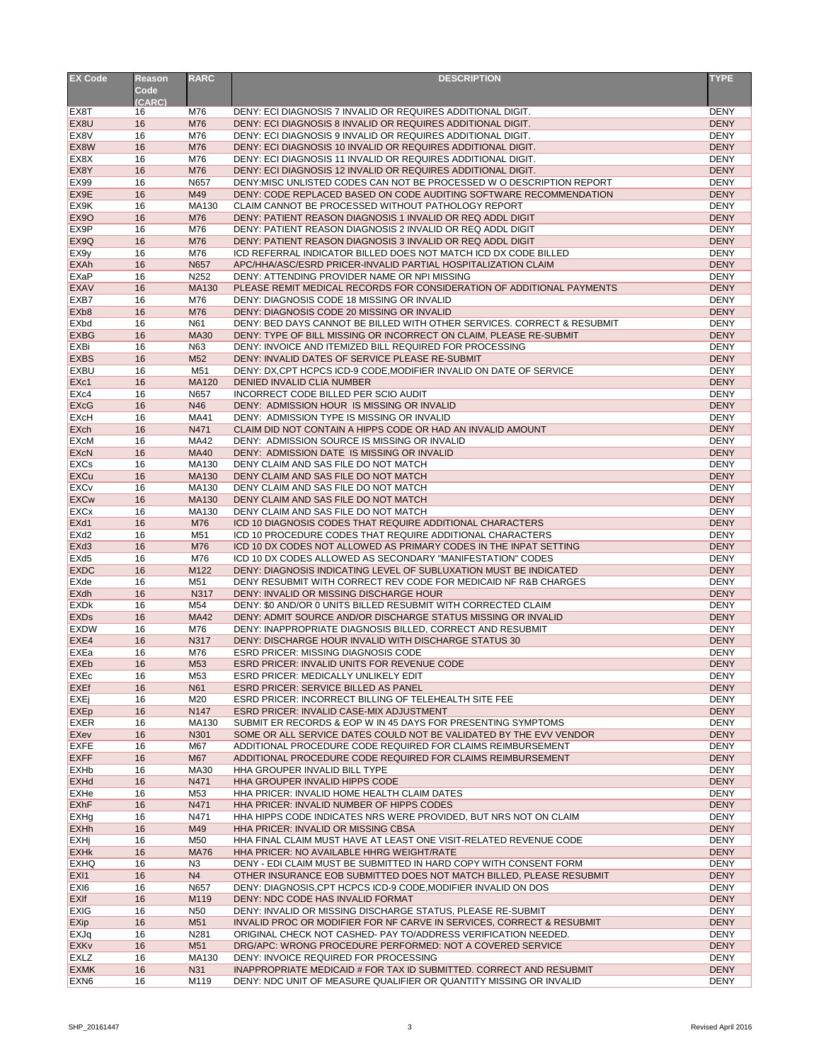| <b>EX Code</b>                       | <b>Reason</b><br>Code<br>(CARC) | <b>RARC</b>            | <b>DESCRIPTION</b>                                                                                                               | <b>TYPE</b>                |
|--------------------------------------|---------------------------------|------------------------|----------------------------------------------------------------------------------------------------------------------------------|----------------------------|
| EX8T                                 | 16                              | M76                    | DENY: ECI DIAGNOSIS 7 INVALID OR REQUIRES ADDITIONAL DIGIT.                                                                      | <b>DENY</b>                |
| EX8U                                 | 16                              | M76                    | DENY: ECI DIAGNOSIS 8 INVALID OR REQUIRES ADDITIONAL DIGIT.                                                                      | <b>DENY</b>                |
| EX8V                                 | 16                              | M76                    | DENY: ECI DIAGNOSIS 9 INVALID OR REQUIRES ADDITIONAL DIGIT.                                                                      | <b>DENY</b>                |
| EX8W                                 | 16                              | M76                    | DENY: ECI DIAGNOSIS 10 INVALID OR REQUIRES ADDITIONAL DIGIT.                                                                     | <b>DENY</b>                |
| EX8X<br>EX8Y                         | 16<br>16                        | M76<br>M76             | DENY: ECI DIAGNOSIS 11 INVALID OR REQUIRES ADDITIONAL DIGIT.<br>DENY: ECI DIAGNOSIS 12 INVALID OR REQUIRES ADDITIONAL DIGIT.     | <b>DENY</b><br><b>DENY</b> |
| <b>EX99</b>                          | 16                              | N657                   | DENY: MISC UNLISTED CODES CAN NOT BE PROCESSED W O DESCRIPTION REPORT                                                            | <b>DENY</b>                |
| EX9E                                 | 16                              | M49                    | DENY: CODE REPLACED BASED ON CODE AUDITING SOFTWARE RECOMMENDATION                                                               | <b>DENY</b>                |
| EX9K                                 | 16                              | MA130                  | CLAIM CANNOT BE PROCESSED WITHOUT PATHOLOGY REPORT                                                                               | <b>DENY</b>                |
| <b>EX90</b>                          | 16                              | M76                    | DENY: PATIENT REASON DIAGNOSIS 1 INVALID OR REQ ADDL DIGIT                                                                       | <b>DENY</b>                |
| EX <sub>9</sub> P                    | 16                              | M76                    | DENY: PATIENT REASON DIAGNOSIS 2 INVALID OR REQ ADDL DIGIT                                                                       | <b>DENY</b>                |
| EX <sub>9</sub> Q                    | 16                              | M76                    | DENY: PATIENT REASON DIAGNOSIS 3 INVALID OR REQ ADDL DIGIT                                                                       | <b>DENY</b>                |
| EX <sub>9y</sub><br><b>EXAh</b>      | 16<br>16                        | M76<br>N657            | ICD REFERRAL INDICATOR BILLED DOES NOT MATCH ICD DX CODE BILLED<br>APC/HHA/ASC/ESRD PRICER-INVALID PARTIAL HOSPITALIZATION CLAIM | <b>DENY</b><br><b>DENY</b> |
| EXaP                                 | 16                              | N252                   | DENY: ATTENDING PROVIDER NAME OR NPI MISSING                                                                                     | <b>DENY</b>                |
| <b>EXAV</b>                          | 16                              | <b>MA130</b>           | PLEASE REMIT MEDICAL RECORDS FOR CONSIDERATION OF ADDITIONAL PAYMENTS                                                            | <b>DENY</b>                |
| EXB7                                 | 16                              | M76                    | DENY: DIAGNOSIS CODE 18 MISSING OR INVALID                                                                                       | <b>DENY</b>                |
| EX <sub>b</sub> 8                    | 16                              | M76                    | DENY: DIAGNOSIS CODE 20 MISSING OR INVALID                                                                                       | <b>DENY</b>                |
| EXbd                                 | 16                              | N61                    | DENY: BED DAYS CANNOT BE BILLED WITH OTHER SERVICES. CORRECT & RESUBMIT                                                          | <b>DENY</b>                |
| <b>EXBG</b>                          | 16                              | <b>MA30</b>            | DENY: TYPE OF BILL MISSING OR INCORRECT ON CLAIM, PLEASE RE-SUBMIT                                                               | <b>DENY</b>                |
| EXBi<br><b>EXBS</b>                  | 16<br>16                        | N63<br>M <sub>52</sub> | DENY: INVOICE AND ITEMIZED BILL REQUIRED FOR PROCESSING<br>DENY: INVALID DATES OF SERVICE PLEASE RE-SUBMIT                       | <b>DENY</b><br><b>DENY</b> |
| <b>EXBU</b>                          | 16                              | M51                    | DENY: DX, CPT HCPCS ICD-9 CODE, MODIFIER INVALID ON DATE OF SERVICE                                                              | <b>DENY</b>                |
| EXc1                                 | 16                              | <b>MA120</b>           | DENIED INVALID CLIA NUMBER                                                                                                       | <b>DENY</b>                |
| EX <sub>c4</sub>                     | 16                              | N657                   | INCORRECT CODE BILLED PER SCIO AUDIT                                                                                             | <b>DENY</b>                |
| <b>EXcG</b>                          | 16                              | N46                    | DENY: ADMISSION HOUR IS MISSING OR INVALID                                                                                       | <b>DENY</b>                |
| <b>EXcH</b>                          | 16                              | <b>MA41</b>            | DENY: ADMISSION TYPE IS MISSING OR INVALID                                                                                       | <b>DENY</b>                |
| <b>EXch</b><br><b>EXcM</b>           | 16<br>16                        | N471<br><b>MA42</b>    | CLAIM DID NOT CONTAIN A HIPPS CODE OR HAD AN INVALID AMOUNT<br>DENY: ADMISSION SOURCE IS MISSING OR INVALID                      | <b>DENY</b><br><b>DENY</b> |
| <b>EXcN</b>                          | 16                              | <b>MA40</b>            | DENY: ADMISSION DATE IS MISSING OR INVALID                                                                                       | <b>DENY</b>                |
| <b>EXCs</b>                          | 16                              | MA130                  | DENY CLAIM AND SAS FILE DO NOT MATCH                                                                                             | <b>DENY</b>                |
| EXCu                                 | 16                              | <b>MA130</b>           | DENY CLAIM AND SAS FILE DO NOT MATCH                                                                                             | <b>DENY</b>                |
| <b>EXCv</b>                          | 16                              | <b>MA130</b>           | DENY CLAIM AND SAS FILE DO NOT MATCH                                                                                             | <b>DENY</b>                |
| <b>EXCw</b>                          | 16                              | <b>MA130</b>           | DENY CLAIM AND SAS FILE DO NOT MATCH                                                                                             | <b>DENY</b>                |
| <b>EXCx</b>                          | 16                              | MA130                  | DENY CLAIM AND SAS FILE DO NOT MATCH                                                                                             | <b>DENY</b>                |
| EX <sub>d1</sub><br>EX <sub>d2</sub> | 16<br>16                        | M76<br>M51             | ICD 10 DIAGNOSIS CODES THAT REQUIRE ADDITIONAL CHARACTERS<br>ICD 10 PROCEDURE CODES THAT REQUIRE ADDITIONAL CHARACTERS           | <b>DENY</b><br><b>DENY</b> |
| EX <sub>d</sub> 3                    | 16                              | M76                    | ICD 10 DX CODES NOT ALLOWED AS PRIMARY CODES IN THE INPAT SETTING                                                                | <b>DENY</b>                |
| EX <sub>d5</sub>                     | 16                              | M76                    | ICD 10 DX CODES ALLOWED AS SECONDARY "MANIFESTATION" CODES                                                                       | <b>DENY</b>                |
| <b>EXDC</b>                          | 16                              | M122                   | DENY: DIAGNOSIS INDICATING LEVEL OF SUBLUXATION MUST BE INDICATED                                                                | <b>DENY</b>                |
| EXde                                 | 16                              | M51                    | DENY RESUBMIT WITH CORRECT REV CODE FOR MEDICAID NF R&B CHARGES                                                                  | <b>DENY</b>                |
| EXdh                                 | 16                              | <b>N317</b>            | DENY: INVALID OR MISSING DISCHARGE HOUR                                                                                          | <b>DENY</b>                |
| <b>EXDK</b>                          | 16                              | M54                    | DENY: \$0 AND/OR 0 UNITS BILLED RESUBMIT WITH CORRECTED CLAIM                                                                    | <b>DENY</b><br><b>DENY</b> |
| <b>EXDs</b><br><b>EXDW</b>           | 16<br>16                        | <b>MA42</b><br>M76     | DENY: ADMIT SOURCE AND/OR DISCHARGE STATUS MISSING OR INVALID<br>DENY: INAPPROPRIATE DIAGNOSIS BILLED, CORRECT AND RESUBMIT      | <b>DENY</b>                |
| EXE4                                 | 16                              | N317                   | DENY: DISCHARGE HOUR INVALID WITH DISCHARGE STATUS 30                                                                            | <b>DENY</b>                |
| EXEa                                 | 16                              | M76                    | <b>ESRD PRICER: MISSING DIAGNOSIS CODE</b>                                                                                       | <b>DENY</b>                |
| <b>EXEb</b>                          | 16                              | M53                    | <b>ESRD PRICER: INVALID UNITS FOR REVENUE CODE</b>                                                                               | <b>DENY</b>                |
| <b>EXEC</b>                          | 16                              | M53                    | <b>ESRD PRICER: MEDICALLY UNLIKELY EDIT</b>                                                                                      | <b>DENY</b>                |
| <b>EXEf</b>                          | 16                              | <b>N61</b>             | <b>ESRD PRICER: SERVICE BILLED AS PANEL</b>                                                                                      | <b>DENY</b>                |
| EXEj                                 | 16<br>16                        | M20<br>N147            | ESRD PRICER: INCORRECT BILLING OF TELEHEALTH SITE FEE<br>ESRD PRICER: INVALID CASE-MIX ADJUSTMENT                                | <b>DENY</b><br><b>DENY</b> |
| EXEp<br><b>EXER</b>                  | 16                              | MA130                  | SUBMIT ER RECORDS & EOP W IN 45 DAYS FOR PRESENTING SYMPTOMS                                                                     | <b>DENY</b>                |
| <b>EXev</b>                          | 16                              | N301                   | SOME OR ALL SERVICE DATES COULD NOT BE VALIDATED BY THE EVV VENDOR                                                               | <b>DENY</b>                |
| <b>EXFE</b>                          | 16                              | M67                    | ADDITIONAL PROCEDURE CODE REQUIRED FOR CLAIMS REIMBURSEMENT                                                                      | <b>DENY</b>                |
| <b>EXFF</b>                          | 16                              | M67                    | ADDITIONAL PROCEDURE CODE REQUIRED FOR CLAIMS REIMBURSEMENT                                                                      | <b>DENY</b>                |
| <b>EXHb</b>                          | 16                              | <b>MA30</b>            | HHA GROUPER INVALID BILL TYPE                                                                                                    | <b>DENY</b>                |
| <b>EXHd</b>                          | 16                              | N471                   | HHA GROUPER INVALID HIPPS CODE                                                                                                   | <b>DENY</b>                |
| EXHe<br><b>EXhF</b>                  | 16<br>16                        | M53<br>N471            | HHA PRICER: INVALID HOME HEALTH CLAIM DATES<br>HHA PRICER: INVALID NUMBER OF HIPPS CODES                                         | <b>DENY</b><br><b>DENY</b> |
| <b>EXHg</b>                          | 16                              | N471                   | HHA HIPPS CODE INDICATES NRS WERE PROVIDED, BUT NRS NOT ON CLAIM                                                                 | <b>DENY</b>                |
| <b>EXHh</b>                          | 16                              | M49                    | HHA PRICER: INVALID OR MISSING CBSA                                                                                              | <b>DENY</b>                |
| <b>EXHj</b>                          | 16                              | M50                    | HHA FINAL CLAIM MUST HAVE AT LEAST ONE VISIT-RELATED REVENUE CODE                                                                | <b>DENY</b>                |
| <b>EXHK</b>                          | 16                              | <b>MA76</b>            | HHA PRICER: NO AVAILABLE HHRG WEIGHT/RATE                                                                                        | <b>DENY</b>                |
| <b>EXHQ</b>                          | 16                              | N3                     | DENY - EDI CLAIM MUST BE SUBMITTED IN HARD COPY WITH CONSENT FORM                                                                | <b>DENY</b>                |
| EX <sub>I1</sub>                     | 16                              | N <sub>4</sub>         | OTHER INSURANCE EOB SUBMITTED DOES NOT MATCH BILLED, PLEASE RESUBMIT                                                             | <b>DENY</b>                |
| EX <sub>I6</sub><br><b>EXIf</b>      | 16<br>16                        | N657<br>M119           | DENY: DIAGNOSIS, CPT HCPCS ICD-9 CODE, MODIFIER INVALID ON DOS<br>DENY: NDC CODE HAS INVALID FORMAT                              | <b>DENY</b><br><b>DENY</b> |
| <b>EXIG</b>                          | 16                              | N50                    | DENY: INVALID OR MISSING DISCHARGE STATUS, PLEASE RE-SUBMIT                                                                      | <b>DENY</b>                |
| <b>EXip</b>                          | 16                              | M51                    | INVALID PROC OR MODIFIER FOR NF CARVE IN SERVICES, CORRECT & RESUBMIT                                                            | <b>DENY</b>                |
| EXJq                                 | 16                              | N281                   | ORIGINAL CHECK NOT CASHED- PAY TO/ADDRESS VERIFICATION NEEDED.                                                                   | <b>DENY</b>                |
| <b>EXKv</b>                          | 16                              | M51                    | DRG/APC: WRONG PROCEDURE PERFORMED: NOT A COVERED SERVICE                                                                        | <b>DENY</b>                |
| <b>EXLZ</b>                          | 16                              | MA130                  | DENY: INVOICE REQUIRED FOR PROCESSING                                                                                            | <b>DENY</b>                |
| <b>EXMK</b>                          | 16                              | N31                    | INAPPROPRIATE MEDICAID # FOR TAX ID SUBMITTED. CORRECT AND RESUBMIT                                                              | <b>DENY</b>                |
| EXN <sub>6</sub>                     | 16                              | M119                   | DENY: NDC UNIT OF MEASURE QUALIFIER OR QUANTITY MISSING OR INVALID                                                               | <b>DENY</b>                |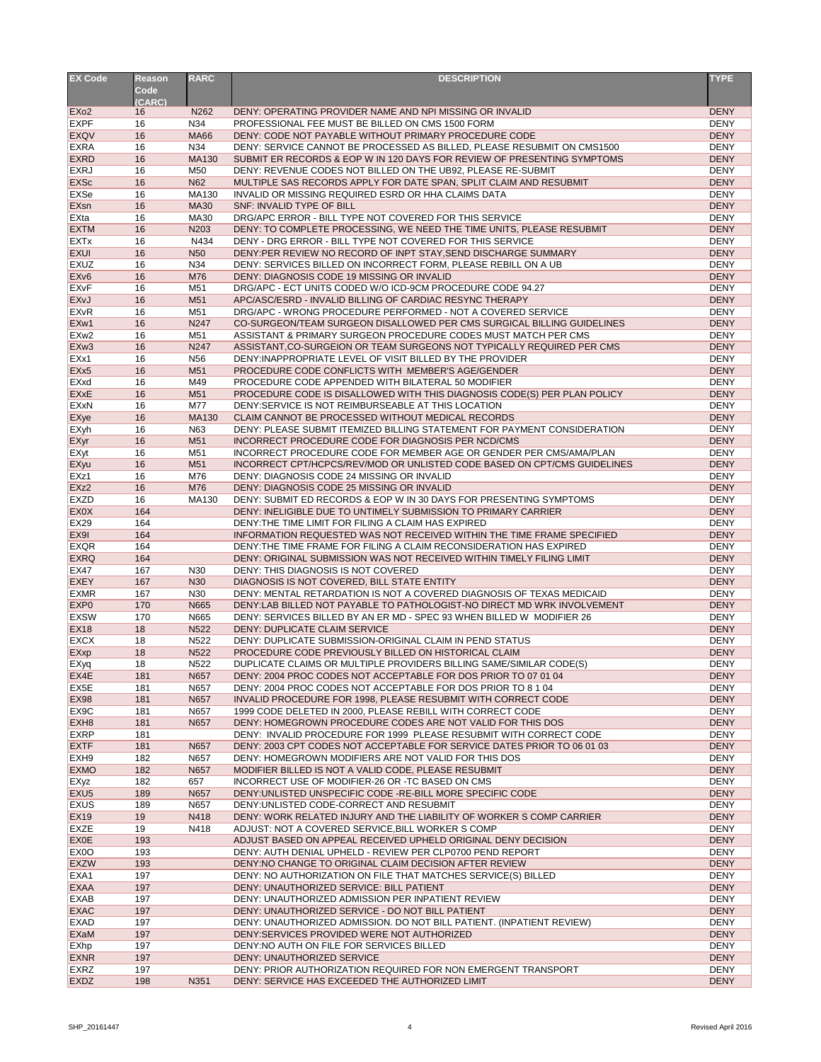| <b>EX Code</b>         | <b>Reason</b> | <b>RARC</b>      | <b>DESCRIPTION</b>                                                       | <b>TYPE</b> |
|------------------------|---------------|------------------|--------------------------------------------------------------------------|-------------|
|                        | Code          |                  |                                                                          |             |
|                        | (CARC)        |                  |                                                                          |             |
| EX <sub>o</sub> 2      | 16            | N262             | DENY: OPERATING PROVIDER NAME AND NPI MISSING OR INVALID                 | <b>DENY</b> |
| <b>EXPF</b>            | 16            | N34              | PROFESSIONAL FEE MUST BE BILLED ON CMS 1500 FORM                         | <b>DENY</b> |
| <b>EXQV</b>            | 16            | <b>MA66</b>      | DENY: CODE NOT PAYABLE WITHOUT PRIMARY PROCEDURE CODE                    | <b>DENY</b> |
| <b>EXRA</b>            | 16            | N34              | DENY: SERVICE CANNOT BE PROCESSED AS BILLED, PLEASE RESUBMIT ON CMS1500  | <b>DENY</b> |
| <b>EXRD</b>            | 16            | <b>MA130</b>     | SUBMIT ER RECORDS & EOP W IN 120 DAYS FOR REVIEW OF PRESENTING SYMPTOMS  | <b>DENY</b> |
| <b>EXRJ</b>            | 16            | M50              | DENY: REVENUE CODES NOT BILLED ON THE UB92, PLEASE RE-SUBMIT             | <b>DENY</b> |
| <b>EXSc</b>            | 16            | <b>N62</b>       | MULTIPLE SAS RECORDS APPLY FOR DATE SPAN, SPLIT CLAIM AND RESUBMIT       | <b>DENY</b> |
| <b>EXSe</b>            | 16            | MA130            | INVALID OR MISSING REQUIRED ESRD OR HHA CLAIMS DATA                      | <b>DENY</b> |
| EXsn                   | 16            | <b>MA30</b>      | SNF: INVALID TYPE OF BILL                                                | <b>DENY</b> |
| EXta                   | 16            | <b>MA30</b>      | DRG/APC ERROR - BILL TYPE NOT COVERED FOR THIS SERVICE                   | <b>DENY</b> |
| <b>EXTM</b>            | 16            | N203             | DENY: TO COMPLETE PROCESSING, WE NEED THE TIME UNITS, PLEASE RESUBMIT    | <b>DENY</b> |
| <b>EXTx</b>            | 16            | N434             | DENY - DRG ERROR - BILL TYPE NOT COVERED FOR THIS SERVICE                | <b>DENY</b> |
| <b>EXUI</b>            | 16            | <b>N50</b>       | DENY:PER REVIEW NO RECORD OF INPT STAY, SEND DISCHARGE SUMMARY           | <b>DENY</b> |
| <b>EXUZ</b>            | 16            | N34              | DENY: SERVICES BILLED ON INCORRECT FORM, PLEASE REBILL ON A UB           | <b>DENY</b> |
| EX <sub>v6</sub>       | 16            | M76              | DENY: DIAGNOSIS CODE 19 MISSING OR INVALID                               | <b>DENY</b> |
| <b>EXvF</b>            | 16            | M51              | DRG/APC - ECT UNITS CODED W/O ICD-9CM PROCEDURE CODE 94.27               | <b>DENY</b> |
| EXvJ                   | 16            | M51              | APC/ASC/ESRD - INVALID BILLING OF CARDIAC RESYNC THERAPY                 | <b>DENY</b> |
| <b>EX<sub>V</sub>R</b> | 16            | M51              | DRG/APC - WRONG PROCEDURE PERFORMED - NOT A COVERED SERVICE              | <b>DENY</b> |
| EXw1                   | 16            | N247             | CO-SURGEON/TEAM SURGEON DISALLOWED PER CMS SURGICAL BILLING GUIDELINES   | <b>DENY</b> |
| EXw <sub>2</sub>       | 16            | M51              | ASSISTANT & PRIMARY SURGEON PROCEDURE CODES MUST MATCH PER CMS           | <b>DENY</b> |
| EXw <sub>3</sub>       | 16            | N247             | ASSISTANT, CO-SURGEION OR TEAM SURGEONS NOT TYPICALLY REQUIRED PER CMS   | <b>DENY</b> |
| EXx1                   | 16            | N <sub>56</sub>  | DENY: INAPPROPRIATE LEVEL OF VISIT BILLED BY THE PROVIDER                | <b>DENY</b> |
| EXx <sub>5</sub>       | 16            | M51              | PROCEDURE CODE CONFLICTS WITH MEMBER'S AGE/GENDER                        | <b>DENY</b> |
| EXxd                   | 16            | M49              | PROCEDURE CODE APPENDED WITH BILATERAL 50 MODIFIER                       | <b>DENY</b> |
| <b>EXxE</b>            | 16            | M51              | PROCEDURE CODE IS DISALLOWED WITH THIS DIAGNOSIS CODE(S) PER PLAN POLICY | <b>DENY</b> |
| <b>EXxN</b>            | 16            | M77              | DENY: SERVICE IS NOT REIMBURSEABLE AT THIS LOCATION                      | <b>DENY</b> |
| <b>EXye</b>            | 16            | MA130            | CLAIM CANNOT BE PROCESSED WITHOUT MEDICAL RECORDS                        | <b>DENY</b> |
| <b>EXyh</b>            | 16            | N63              | DENY: PLEASE SUBMIT ITEMIZED BILLING STATEMENT FOR PAYMENT CONSIDERATION | <b>DENY</b> |
| EXyr                   | 16            | M51              | INCORRECT PROCEDURE CODE FOR DIAGNOSIS PER NCD/CMS                       | <b>DENY</b> |
| EXyt                   | 16            | M51              | INCORRECT PROCEDURE CODE FOR MEMBER AGE OR GENDER PER CMS/AMA/PLAN       | <b>DENY</b> |
| EXyu                   | 16            | M51              | INCORRECT CPT/HCPCS/REV/MOD OR UNLISTED CODE BASED ON CPT/CMS GUIDELINES | <b>DENY</b> |
| EXz1                   | 16            | M76              | DENY: DIAGNOSIS CODE 24 MISSING OR INVALID                               | <b>DENY</b> |
| EXz <sub>2</sub>       | 16            | M76              | DENY: DIAGNOSIS CODE 25 MISSING OR INVALID                               | <b>DENY</b> |
| <b>EXZD</b>            | 16            | MA130            | DENY: SUBMIT ED RECORDS & EOP W IN 30 DAYS FOR PRESENTING SYMPTOMS       | <b>DENY</b> |
| <b>EXOX</b>            | 164           |                  | DENY: INELIGIBLE DUE TO UNTIMELY SUBMISSION TO PRIMARY CARRIER           | <b>DENY</b> |
| <b>EX29</b>            | 164           |                  | DENY: THE TIME LIMIT FOR FILING A CLAIM HAS EXPIRED                      | <b>DENY</b> |
| EX9I                   | 164           |                  | INFORMATION REQUESTED WAS NOT RECEIVED WITHIN THE TIME FRAME SPECIFIED   | <b>DENY</b> |
| <b>EXQR</b>            | 164           |                  | DENY: THE TIME FRAME FOR FILING A CLAIM RECONSIDERATION HAS EXPIRED      | <b>DENY</b> |
| <b>EXRQ</b>            | 164           |                  | DENY: ORIGINAL SUBMISSION WAS NOT RECEIVED WITHIN TIMELY FILING LIMIT    | <b>DENY</b> |
| <b>EX47</b>            | 167           | N30              | DENY: THIS DIAGNOSIS IS NOT COVERED                                      | <b>DENY</b> |
| <b>EXEY</b>            | 167           | N30              | DIAGNOSIS IS NOT COVERED, BILL STATE ENTITY                              | <b>DENY</b> |
| <b>EXMR</b>            | 167           | N30              | DENY: MENTAL RETARDATION IS NOT A COVERED DIAGNOSIS OF TEXAS MEDICAID    | <b>DENY</b> |
| EXP <sub>0</sub>       | 170           | N665             | DENY:LAB BILLED NOT PAYABLE TO PATHOLOGIST-NO DIRECT MD WRK INVOLVEMENT  | <b>DENY</b> |
| <b>EXSW</b>            | 170           | N665             | DENY: SERVICES BILLED BY AN ER MD - SPEC 93 WHEN BILLED W MODIFIER 26    | <b>DENY</b> |
| <b>EX18</b>            | 18            | N <sub>522</sub> | DENY: DUPLICATE CLAIM SERVICE                                            | <b>DENY</b> |
| <b>EXCX</b>            | 18            | N <sub>522</sub> | DENY: DUPLICATE SUBMISSION-ORIGINAL CLAIM IN PEND STATUS                 | <b>DENY</b> |
| EXxp                   | 18            | N <sub>522</sub> | PROCEDURE CODE PREVIOUSLY BILLED ON HISTORICAL CLAIM                     | <b>DENY</b> |
| EXyq                   | 18            | N522             | DUPLICATE CLAIMS OR MULTIPLE PROVIDERS BILLING SAME/SIMILAR CODE(S)      | <b>DENY</b> |
| EX4E                   | 181           | N657             | DENY: 2004 PROC CODES NOT ACCEPTABLE FOR DOS PRIOR TO 07 01 04           | <b>DENY</b> |
| EX <sub>5</sub> E      | 181           | N657             | DENY: 2004 PROC CODES NOT ACCEPTABLE FOR DOS PRIOR TO 8 1 04             | <b>DENY</b> |
| <b>EX98</b>            | 181           | N657             | INVALID PROCEDURE FOR 1998, PLEASE RESUBMIT WITH CORRECT CODE            | <b>DENY</b> |
| EX <sub>9</sub> C      | 181           | N657             | 1999 CODE DELETED IN 2000, PLEASE REBILL WITH CORRECT CODE               | <b>DENY</b> |
| EXH <sub>8</sub>       | 181           | N657             | DENY: HOMEGROWN PROCEDURE CODES ARE NOT VALID FOR THIS DOS               | <b>DENY</b> |
| <b>EXRP</b>            | 181           |                  | DENY: INVALID PROCEDURE FOR 1999 PLEASE RESUBMIT WITH CORRECT CODE       | <b>DENY</b> |
| <b>EXTF</b>            | 181           | N657             | DENY: 2003 CPT CODES NOT ACCEPTABLE FOR SERVICE DATES PRIOR TO 06 01 03  | <b>DENY</b> |
| EXH <sub>9</sub>       | 182           | N657             | DENY: HOMEGROWN MODIFIERS ARE NOT VALID FOR THIS DOS                     | <b>DENY</b> |
| <b>EXMO</b>            | 182           | N657             | MODIFIER BILLED IS NOT A VALID CODE, PLEASE RESUBMIT                     | <b>DENY</b> |
| <b>EXyz</b>            | 182           | 657              | INCORRECT USE OF MODIFIER-26 OR -TC BASED ON CMS                         | <b>DENY</b> |
| EXU <sub>5</sub>       | 189           | N657             | DENY: UNLISTED UNSPECIFIC CODE - RE-BILL MORE SPECIFIC CODE              | <b>DENY</b> |
| <b>EXUS</b>            | 189           | N657             | DENY: UNLISTED CODE-CORRECT AND RESUBMIT                                 | <b>DENY</b> |
| <b>EX19</b>            | 19            | N418             | DENY: WORK RELATED INJURY AND THE LIABILITY OF WORKER S COMP CARRIER     | <b>DENY</b> |
| <b>EXZE</b>            | 19            | N418             | ADJUST: NOT A COVERED SERVICE, BILL WORKER S COMP                        | <b>DENY</b> |
| <b>EXOE</b>            | 193           |                  | ADJUST BASED ON APPEAL RECEIVED UPHELD ORIGINAL DENY DECISION            | <b>DENY</b> |
| EX <sub>0</sub> O      | 193           |                  | DENY: AUTH DENIAL UPHELD - REVIEW PER CLP0700 PEND REPORT                | <b>DENY</b> |
| <b>EXZW</b>            | 193           |                  | DENY:NO CHANGE TO ORIGINAL CLAIM DECISION AFTER REVIEW                   | <b>DENY</b> |
| EXA1                   | 197           |                  | DENY: NO AUTHORIZATION ON FILE THAT MATCHES SERVICE(S) BILLED            | <b>DENY</b> |
| <b>EXAA</b>            | 197           |                  | DENY: UNAUTHORIZED SERVICE: BILL PATIENT                                 | <b>DENY</b> |
| <b>EXAB</b>            | 197           |                  | DENY: UNAUTHORIZED ADMISSION PER INPATIENT REVIEW                        | <b>DENY</b> |
| <b>EXAC</b>            | 197           |                  | DENY: UNAUTHORIZED SERVICE - DO NOT BILL PATIENT                         | <b>DENY</b> |
| <b>EXAD</b>            | 197           |                  | DENY: UNAUTHORIZED ADMISSION. DO NOT BILL PATIENT. (INPATIENT REVIEW)    | <b>DENY</b> |
| EXaM                   | 197           |                  | DENY: SERVICES PROVIDED WERE NOT AUTHORIZED                              | <b>DENY</b> |
| <b>EXhp</b>            | 197           |                  | DENY:NO AUTH ON FILE FOR SERVICES BILLED                                 | <b>DENY</b> |
| <b>EXNR</b>            | 197           |                  | DENY: UNAUTHORIZED SERVICE                                               | <b>DENY</b> |
| <b>EXRZ</b>            | 197           |                  | DENY: PRIOR AUTHORIZATION REQUIRED FOR NON EMERGENT TRANSPORT            | <b>DENY</b> |
| <b>EXDZ</b>            | 198           | N351             | DENY: SERVICE HAS EXCEEDED THE AUTHORIZED LIMIT                          | <b>DENY</b> |
|                        |               |                  |                                                                          |             |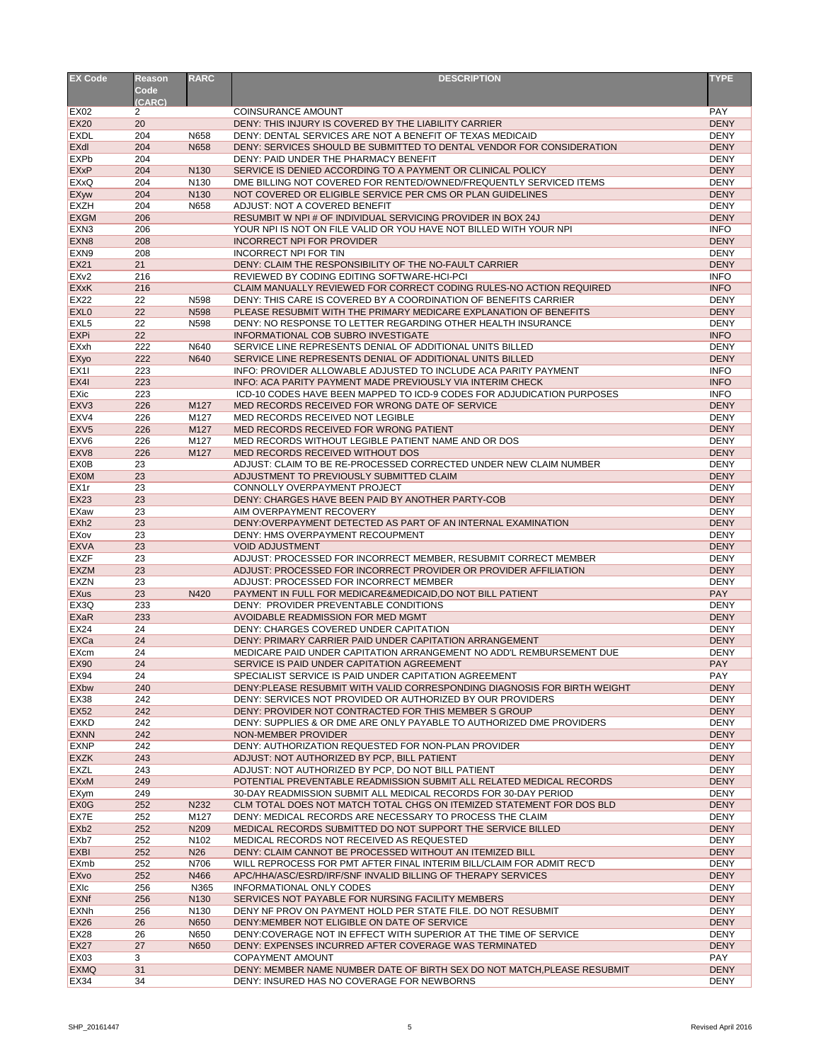| <b>EX Code</b>                   | <b>Reason</b>         | <b>RARC</b>                          | <b>DESCRIPTION</b>                                                                                   | <b>TYPE</b>                |
|----------------------------------|-----------------------|--------------------------------------|------------------------------------------------------------------------------------------------------|----------------------------|
|                                  | Code                  |                                      |                                                                                                      |                            |
|                                  | (CARC)                |                                      |                                                                                                      |                            |
| <b>EX02</b>                      | $\mathbf{2}^{\prime}$ |                                      | <b>COINSURANCE AMOUNT</b>                                                                            | <b>PAY</b>                 |
| <b>EX20</b>                      | 20                    |                                      | DENY: THIS INJURY IS COVERED BY THE LIABILITY CARRIER                                                | <b>DENY</b>                |
| <b>EXDL</b>                      | 204                   | N658                                 | DENY: DENTAL SERVICES ARE NOT A BENEFIT OF TEXAS MEDICAID                                            | <b>DENY</b>                |
| EXdl                             | 204                   | N658                                 | DENY: SERVICES SHOULD BE SUBMITTED TO DENTAL VENDOR FOR CONSIDERATION                                | <b>DENY</b>                |
| <b>EXPb</b>                      | 204                   |                                      | DENY: PAID UNDER THE PHARMACY BENEFIT<br>SERVICE IS DENIED ACCORDING TO A PAYMENT OR CLINICAL POLICY | <b>DENY</b>                |
| <b>EXxP</b><br><b>EXxQ</b>       | 204<br>204            | N <sub>130</sub><br>N <sub>130</sub> | DME BILLING NOT COVERED FOR RENTED/OWNED/FREQUENTLY SERVICED ITEMS                                   | <b>DENY</b><br><b>DENY</b> |
| <b>EXyw</b>                      | 204                   | N130                                 | NOT COVERED OR ELIGIBLE SERVICE PER CMS OR PLAN GUIDELINES                                           | <b>DENY</b>                |
| <b>EXZH</b>                      | 204                   | N658                                 | <b>ADJUST: NOT A COVERED BENEFIT</b>                                                                 | <b>DENY</b>                |
| <b>EXGM</b>                      | 206                   |                                      | RESUMBIT W NPI # OF INDIVIDUAL SERVICING PROVIDER IN BOX 24J                                         | <b>DENY</b>                |
| EXN <sub>3</sub>                 | 206                   |                                      | YOUR NPI IS NOT ON FILE VALID OR YOU HAVE NOT BILLED WITH YOUR NPI                                   | <b>INFO</b>                |
| EXN <sub>8</sub>                 | 208                   |                                      | <b>INCORRECT NPI FOR PROVIDER</b>                                                                    | <b>DENY</b>                |
| EXN <sub>9</sub>                 | 208                   |                                      | <b>INCORRECT NPI FOR TIN</b>                                                                         | <b>DENY</b>                |
| <b>EX21</b>                      | 21                    |                                      | DENY: CLAIM THE RESPONSIBILITY OF THE NO-FAULT CARRIER                                               | <b>DENY</b>                |
| EX <sub>v2</sub>                 | 216                   |                                      | REVIEWED BY CODING EDITING SOFTWARE-HCI-PCI                                                          | <b>INFO</b>                |
| <b>EXxK</b>                      | 216                   |                                      | CLAIM MANUALLY REVIEWED FOR CORRECT CODING RULES-NO ACTION REQUIRED                                  | <b>INFO</b>                |
| <b>EX22</b>                      | 22                    | N598                                 | DENY: THIS CARE IS COVERED BY A COORDINATION OF BENEFITS CARRIER                                     | <b>DENY</b>                |
| <b>EXLO</b>                      | 22                    | N598                                 | PLEASE RESUBMIT WITH THE PRIMARY MEDICARE EXPLANATION OF BENEFITS                                    | <b>DENY</b>                |
| EXL <sub>5</sub>                 | 22                    | N598                                 | DENY: NO RESPONSE TO LETTER REGARDING OTHER HEALTH INSURANCE                                         | <b>DENY</b>                |
| <b>EXPi</b>                      | 22                    |                                      | INFORMATIONAL COB SUBRO INVESTIGATE                                                                  | <b>INFO</b>                |
| EXxh                             | 222                   | N640                                 | SERVICE LINE REPRESENTS DENIAL OF ADDITIONAL UNITS BILLED                                            | <b>DENY</b>                |
| EXyo                             | 222                   | N640                                 | SERVICE LINE REPRESENTS DENIAL OF ADDITIONAL UNITS BILLED                                            | <b>DENY</b>                |
| EX11                             | 223                   |                                      | INFO: PROVIDER ALLOWABLE ADJUSTED TO INCLUDE ACA PARITY PAYMENT                                      | <b>INFO</b>                |
| EX4I                             | 223                   |                                      | INFO: ACA PARITY PAYMENT MADE PREVIOUSLY VIA INTERIM CHECK                                           | <b>INFO</b>                |
| <b>EXic</b>                      | 223                   |                                      | ICD-10 CODES HAVE BEEN MAPPED TO ICD-9 CODES FOR ADJUDICATION PURPOSES                               | <b>INFO</b>                |
| EXV <sub>3</sub>                 | 226                   | M127                                 | MED RECORDS RECEIVED FOR WRONG DATE OF SERVICE                                                       | <b>DENY</b>                |
| EXV4                             | 226                   | M127                                 | MED RECORDS RECEIVED NOT LEGIBLE                                                                     | <b>DENY</b>                |
| EXV <sub>5</sub>                 | 226                   | M127                                 | MED RECORDS RECEIVED FOR WRONG PATIENT                                                               | <b>DENY</b>                |
| EXV <sub>6</sub>                 | 226                   | M127                                 | MED RECORDS WITHOUT LEGIBLE PATIENT NAME AND OR DOS                                                  | <b>DENY</b>                |
| EXV <sub>8</sub>                 | 226                   | M127                                 | MED RECORDS RECEIVED WITHOUT DOS                                                                     | <b>DENY</b>                |
| <b>EX0B</b>                      | 23                    |                                      | ADJUST: CLAIM TO BE RE-PROCESSED CORRECTED UNDER NEW CLAIM NUMBER                                    | <b>DENY</b>                |
| <b>EXOM</b>                      | 23                    |                                      | ADJUSTMENT TO PREVIOUSLY SUBMITTED CLAIM                                                             | <b>DENY</b>                |
| EX <sub>1</sub> r                | 23                    |                                      | CONNOLLY OVERPAYMENT PROJECT                                                                         | <b>DENY</b>                |
| <b>EX23</b>                      | 23                    |                                      | DENY: CHARGES HAVE BEEN PAID BY ANOTHER PARTY-COB                                                    | <b>DENY</b>                |
| EXaw                             | 23                    |                                      | AIM OVERPAYMENT RECOVERY                                                                             | <b>DENY</b>                |
| EXh <sub>2</sub>                 | 23                    |                                      | DENY: OVERPAYMENT DETECTED AS PART OF AN INTERNAL EXAMINATION                                        | <b>DENY</b>                |
| <b>EXov</b>                      | 23                    |                                      | DENY: HMS OVERPAYMENT RECOUPMENT                                                                     | <b>DENY</b>                |
| <b>EXVA</b>                      | 23                    |                                      | <b>VOID ADJUSTMENT</b>                                                                               | <b>DENY</b>                |
| <b>EXZF</b>                      | 23                    |                                      | ADJUST: PROCESSED FOR INCORRECT MEMBER, RESUBMIT CORRECT MEMBER                                      | <b>DENY</b>                |
| <b>EXZM</b>                      | 23                    |                                      | ADJUST: PROCESSED FOR INCORRECT PROVIDER OR PROVIDER AFFILIATION                                     | <b>DENY</b>                |
| <b>EXZN</b>                      | 23<br>23              | N420                                 | ADJUST: PROCESSED FOR INCORRECT MEMBER<br>PAYMENT IN FULL FOR MEDICARE&MEDICAID, DO NOT BILL PATIENT | <b>DENY</b><br><b>PAY</b>  |
| <b>EXus</b><br>EX <sub>3</sub> Q | 233                   |                                      | DENY: PROVIDER PREVENTABLE CONDITIONS                                                                | <b>DENY</b>                |
| <b>EXaR</b>                      | 233                   |                                      | AVOIDABLE READMISSION FOR MED MGMT                                                                   | <b>DENY</b>                |
| EX24                             | 24                    |                                      | DENY: CHARGES COVERED UNDER CAPITATION                                                               | <b>DENY</b>                |
| EXCa                             | 24                    |                                      | DENY: PRIMARY CARRIER PAID UNDER CAPITATION ARRANGEMENT                                              | <b>DENY</b>                |
| <b>EXcm</b>                      | 24                    |                                      | MEDICARE PAID UNDER CAPITATION ARRANGEMENT NO ADD'L REMBURSEMENT DUE                                 | <b>DENY</b>                |
| <b>EX90</b>                      | 24                    |                                      | SERVICE IS PAID UNDER CAPITATION AGREEMENT                                                           | <b>PAY</b>                 |
| <b>EX94</b>                      | 24                    |                                      | SPECIALIST SERVICE IS PAID UNDER CAPITATION AGREEMENT                                                | <b>PAY</b>                 |
| <b>EXbw</b>                      | 240                   |                                      | DENY: PLEASE RESUBMIT WITH VALID CORRESPONDING DIAGNOSIS FOR BIRTH WEIGHT                            | <b>DENY</b>                |
| <b>EX38</b>                      | 242                   |                                      | DENY: SERVICES NOT PROVIDED OR AUTHORIZED BY OUR PROVIDERS                                           | <b>DENY</b>                |
| <b>EX52</b>                      | 242                   |                                      | DENY: PROVIDER NOT CONTRACTED FOR THIS MEMBER S GROUP                                                | <b>DENY</b>                |
| <b>EXKD</b>                      | 242                   |                                      | DENY: SUPPLIES & OR DME ARE ONLY PAYABLE TO AUTHORIZED DME PROVIDERS                                 | <b>DENY</b>                |
| <b>EXNN</b>                      | 242                   |                                      | NON-MEMBER PROVIDER                                                                                  | <b>DENY</b>                |
| <b>EXNP</b>                      | 242                   |                                      | DENY: AUTHORIZATION REQUESTED FOR NON-PLAN PROVIDER                                                  | <b>DENY</b>                |
| <b>EXZK</b>                      | 243                   |                                      | ADJUST: NOT AUTHORIZED BY PCP, BILL PATIENT                                                          | <b>DENY</b>                |
| <b>EXZL</b>                      | 243                   |                                      | ADJUST: NOT AUTHORIZED BY PCP, DO NOT BILL PATIENT                                                   | <b>DENY</b>                |
| <b>EXxM</b>                      | 249                   |                                      | POTENTIAL PREVENTABLE READMISSION SUBMIT ALL RELATED MEDICAL RECORDS                                 | <b>DENY</b>                |
| EXym                             | 249                   |                                      | 30-DAY READMISSION SUBMIT ALL MEDICAL RECORDS FOR 30-DAY PERIOD                                      | <b>DENY</b>                |
| <b>EXOG</b>                      | 252                   | N232                                 | CLM TOTAL DOES NOT MATCH TOTAL CHGS ON ITEMIZED STATEMENT FOR DOS BLD                                | <b>DENY</b>                |
| EX7E                             | 252                   | M127                                 | DENY: MEDICAL RECORDS ARE NECESSARY TO PROCESS THE CLAIM                                             | <b>DENY</b>                |
| EX <sub>b</sub> 2                | 252                   | N209                                 | MEDICAL RECORDS SUBMITTED DO NOT SUPPORT THE SERVICE BILLED                                          | <b>DENY</b>                |
| EX <sub>b</sub> 7                | 252                   | N <sub>102</sub>                     | MEDICAL RECORDS NOT RECEIVED AS REQUESTED                                                            | <b>DENY</b>                |
| <b>EXBI</b>                      | 252                   | N <sub>26</sub>                      | DENY: CLAIM CANNOT BE PROCESSED WITHOUT AN ITEMIZED BILL                                             | <b>DENY</b>                |
| EXmb                             | 252                   | N706                                 | WILL REPROCESS FOR PMT AFTER FINAL INTERIM BILL/CLAIM FOR ADMIT REC'D                                | <b>DENY</b>                |
| <b>EXvo</b>                      | 252                   | N466                                 | APC/HHA/ASC/ESRD/IRF/SNF INVALID BILLING OF THERAPY SERVICES                                         | <b>DENY</b>                |
| EXIc                             | 256                   | N365                                 | INFORMATIONAL ONLY CODES                                                                             | <b>DENY</b>                |
| <b>EXNf</b>                      | 256                   | N <sub>130</sub>                     | SERVICES NOT PAYABLE FOR NURSING FACILITY MEMBERS                                                    | <b>DENY</b>                |
| <b>EXNh</b>                      | 256                   | N130                                 | DENY NF PROV ON PAYMENT HOLD PER STATE FILE, DO NOT RESUBMIT                                         | <b>DENY</b>                |
| <b>EX26</b>                      | 26                    | N650                                 | DENY: MEMBER NOT ELIGIBLE ON DATE OF SERVICE                                                         | <b>DENY</b>                |
| <b>EX28</b>                      | 26                    | N650                                 | DENY:COVERAGE NOT IN EFFECT WITH SUPERIOR AT THE TIME OF SERVICE                                     | <b>DENY</b>                |
| <b>EX27</b>                      | 27                    | N650                                 | DENY: EXPENSES INCURRED AFTER COVERAGE WAS TERMINATED                                                | <b>DENY</b>                |
| <b>EX03</b><br><b>EXMQ</b>       | 3<br>31               |                                      | <b>COPAYMENT AMOUNT</b><br>DENY: MEMBER NAME NUMBER DATE OF BIRTH SEX DO NOT MATCH, PLEASE RESUBMIT  | <b>PAY</b><br><b>DENY</b>  |
| EX34                             | 34                    |                                      | DENY: INSURED HAS NO COVERAGE FOR NEWBORNS                                                           | <b>DENY</b>                |
|                                  |                       |                                      |                                                                                                      |                            |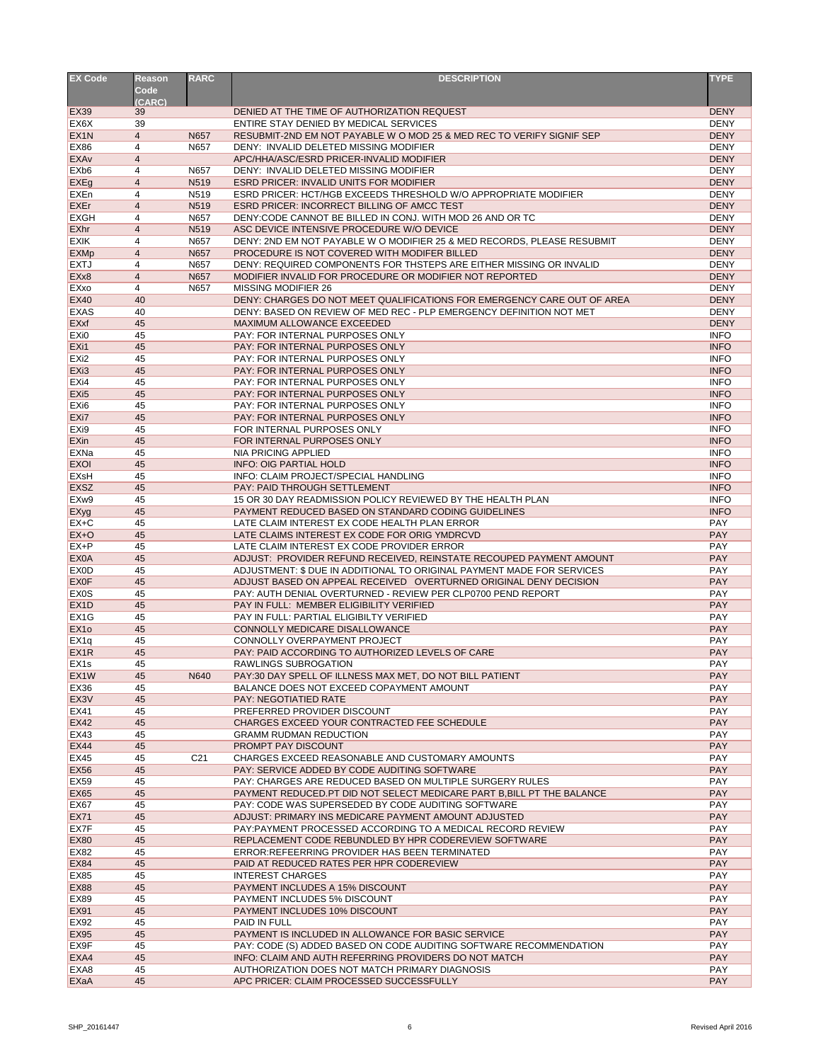| <b>EX Code</b>                       | <b>Reason</b>       | <b>RARC</b>     | <b>DESCRIPTION</b>                                                                                              | <b>TYPE</b>                |
|--------------------------------------|---------------------|-----------------|-----------------------------------------------------------------------------------------------------------------|----------------------------|
|                                      | <b>Code</b>         |                 |                                                                                                                 |                            |
|                                      | (CARC)              |                 |                                                                                                                 |                            |
| <b>EX39</b>                          | 39                  |                 | DENIED AT THE TIME OF AUTHORIZATION REQUEST                                                                     | <b>DENY</b>                |
| EX <sub>6</sub> X                    | 39                  |                 | ENTIRE STAY DENIED BY MEDICAL SERVICES                                                                          | <b>DENY</b>                |
| EX <sub>1</sub> N                    | $\overline{4}$      | N657<br>N657    | RESUBMIT-2ND EM NOT PAYABLE W O MOD 25 & MED REC TO VERIFY SIGNIF SEP<br>DENY: INVALID DELETED MISSING MODIFIER | <b>DENY</b><br><b>DENY</b> |
| <b>EX86</b><br><b>EXAv</b>           | 4<br>$\overline{4}$ |                 | APC/HHA/ASC/ESRD PRICER-INVALID MODIFIER                                                                        | <b>DENY</b>                |
| EX <sub>b</sub> 6                    | 4                   | N657            | DENY: INVALID DELETED MISSING MODIFIER                                                                          | <b>DENY</b>                |
| EXEg                                 | 4                   | N519            | <b>ESRD PRICER: INVALID UNITS FOR MODIFIER</b>                                                                  | <b>DENY</b>                |
| EXEn                                 | 4                   | N519            | ESRD PRICER: HCT/HGB EXCEEDS THRESHOLD W/O APPROPRIATE MODIFIER                                                 | <b>DENY</b>                |
| <b>EXEr</b>                          | 4                   | N519            | <b>ESRD PRICER: INCORRECT BILLING OF AMCC TEST</b>                                                              | <b>DENY</b>                |
| <b>EXGH</b>                          | 4                   | N657            | DENY: CODE CANNOT BE BILLED IN CONJ. WITH MOD 26 AND OR TC                                                      | <b>DENY</b>                |
| <b>EXhr</b>                          | 4                   | N519            | ASC DEVICE INTENSIVE PROCEDURE W/O DEVICE                                                                       | <b>DENY</b>                |
| <b>EXIK</b>                          | 4                   | N657            | DENY: 2ND EM NOT PAYABLE W O MODIFIER 25 & MED RECORDS, PLEASE RESUBMIT                                         | <b>DENY</b>                |
| <b>EXMp</b>                          | 4                   | N657            | PROCEDURE IS NOT COVERED WITH MODIFER BILLED                                                                    | <b>DENY</b>                |
| <b>EXTJ</b>                          | 4                   | N657            | DENY: REQUIRED COMPONENTS FOR THSTEPS ARE EITHER MISSING OR INVALID                                             | <b>DENY</b>                |
| EXx8                                 | 4                   | N657            | MODIFIER INVALID FOR PROCEDURE OR MODIFIER NOT REPORTED                                                         | <b>DENY</b>                |
| EXxo                                 | 4                   | N657            | <b>MISSING MODIFIER 26</b>                                                                                      | <b>DENY</b>                |
| <b>EX40</b>                          | 40                  |                 | DENY: CHARGES DO NOT MEET QUALIFICATIONS FOR EMERGENCY CARE OUT OF AREA                                         | <b>DENY</b>                |
| <b>EXAS</b>                          | 40                  |                 | DENY: BASED ON REVIEW OF MED REC - PLP EMERGENCY DEFINITION NOT MET                                             | <b>DENY</b>                |
| <b>EXxf</b>                          | 45<br>45            |                 | MAXIMUM ALLOWANCE EXCEEDED<br>PAY: FOR INTERNAL PURPOSES ONLY                                                   | <b>DENY</b><br><b>INFO</b> |
| EX <sub>i0</sub><br>EX <sub>i1</sub> | 45                  |                 | PAY: FOR INTERNAL PURPOSES ONLY                                                                                 | <b>INFO</b>                |
| EX <sub>i2</sub>                     | 45                  |                 | PAY: FOR INTERNAL PURPOSES ONLY                                                                                 | <b>INFO</b>                |
| EX <sub>i3</sub>                     | 45                  |                 | PAY: FOR INTERNAL PURPOSES ONLY                                                                                 | <b>INFO</b>                |
| EXi4                                 | 45                  |                 | PAY: FOR INTERNAL PURPOSES ONLY                                                                                 | <b>INFO</b>                |
| EX <sub>i5</sub>                     | 45                  |                 | PAY: FOR INTERNAL PURPOSES ONLY                                                                                 | <b>INFO</b>                |
| EX <sub>i6</sub>                     | 45                  |                 | PAY: FOR INTERNAL PURPOSES ONLY                                                                                 | <b>INFO</b>                |
| EX <sub>i</sub> 7                    | 45                  |                 | PAY: FOR INTERNAL PURPOSES ONLY                                                                                 | <b>INFO</b>                |
| EX <sub>i9</sub>                     | 45                  |                 | FOR INTERNAL PURPOSES ONLY                                                                                      | <b>INFO</b>                |
| <b>EXin</b>                          | 45                  |                 | FOR INTERNAL PURPOSES ONLY                                                                                      | <b>INFO</b>                |
| EXNa                                 | 45                  |                 | <b>NIA PRICING APPLIED</b>                                                                                      | <b>INFO</b>                |
| <b>EXOI</b>                          | 45                  |                 | <b>INFO: OIG PARTIAL HOLD</b>                                                                                   | <b>INFO</b>                |
| <b>EXsH</b>                          | 45                  |                 | INFO: CLAIM PROJECT/SPECIAL HANDLING                                                                            | <b>INFO</b>                |
| <b>EXSZ</b>                          | 45                  |                 | PAY: PAID THROUGH SETTLEMENT                                                                                    | <b>INFO</b>                |
| EXw9                                 | 45                  |                 | 15 OR 30 DAY READMISSION POLICY REVIEWED BY THE HEALTH PLAN                                                     | <b>INFO</b>                |
| <b>EXyg</b>                          | 45                  |                 | PAYMENT REDUCED BASED ON STANDARD CODING GUIDELINES                                                             | <b>INFO</b>                |
| $EX+C$                               | 45                  |                 | LATE CLAIM INTEREST EX CODE HEALTH PLAN ERROR                                                                   | <b>PAY</b>                 |
| $EX+O$                               | 45                  |                 | LATE CLAIMS INTEREST EX CODE FOR ORIG YMDRCVD                                                                   | <b>PAY</b>                 |
| EX+P                                 | 45                  |                 | LATE CLAIM INTEREST EX CODE PROVIDER ERROR                                                                      | <b>PAY</b>                 |
| <b>EX0A</b>                          | 45                  |                 | ADJUST: PROVIDER REFUND RECEIVED, REINSTATE RECOUPED PAYMENT AMOUNT                                             | <b>PAY</b>                 |
| EX <sub>0</sub> D                    | 45                  |                 | ADJUSTMENT: \$ DUE IN ADDITIONAL TO ORIGINAL PAYMENT MADE FOR SERVICES                                          | <b>PAY</b>                 |
| <b>EXOF</b>                          | 45                  |                 | ADJUST BASED ON APPEAL RECEIVED OVERTURNED ORIGINAL DENY DECISION                                               | <b>PAY</b>                 |
| <b>EX0S</b><br>EX <sub>1</sub> D     | 45<br>45            |                 | PAY: AUTH DENIAL OVERTURNED - REVIEW PER CLP0700 PEND REPORT<br>PAY IN FULL: MEMBER ELIGIBILITY VERIFIED        | <b>PAY</b><br><b>PAY</b>   |
| EX <sub>1</sub> G                    | 45                  |                 | PAY IN FULL: PARTIAL ELIGIBILTY VERIFIED                                                                        | PAY                        |
| EX <sub>10</sub>                     | 45                  |                 | CONNOLLY MEDICARE DISALLOWANCE                                                                                  | <b>PAY</b>                 |
| EX <sub>1q</sub>                     | 45                  |                 | CONNOLLY OVERPAYMENT PROJECT                                                                                    | PAY                        |
| EX <sub>1</sub> R                    | 45                  |                 | PAY: PAID ACCORDING TO AUTHORIZED LEVELS OF CARE                                                                | <b>PAY</b>                 |
| EX <sub>1s</sub>                     | 45                  |                 | RAWLINGS SUBROGATION                                                                                            | <b>PAY</b>                 |
| EX <sub>1</sub> W                    | 45                  | N640            | PAY:30 DAY SPELL OF ILLNESS MAX MET, DO NOT BILL PATIENT                                                        | <b>PAY</b>                 |
| <b>EX36</b>                          | 45                  |                 | BALANCE DOES NOT EXCEED COPAYMENT AMOUNT                                                                        | <b>PAY</b>                 |
| EX <sub>3</sub> V                    | 45                  |                 | PAY: NEGOTIATIED RATE                                                                                           | <b>PAY</b>                 |
| <b>EX41</b>                          | 45                  |                 | PREFERRED PROVIDER DISCOUNT                                                                                     | <b>PAY</b>                 |
| <b>EX42</b>                          | 45                  |                 | CHARGES EXCEED YOUR CONTRACTED FEE SCHEDULE                                                                     | <b>PAY</b>                 |
| <b>EX43</b>                          | 45                  |                 | <b>GRAMM RUDMAN REDUCTION</b>                                                                                   | <b>PAY</b>                 |
| <b>EX44</b>                          | 45                  |                 | PROMPT PAY DISCOUNT                                                                                             | <b>PAY</b>                 |
| EX45                                 | 45                  | C <sub>21</sub> | CHARGES EXCEED REASONABLE AND CUSTOMARY AMOUNTS                                                                 | <b>PAY</b>                 |
| <b>EX56</b>                          | 45                  |                 | PAY: SERVICE ADDED BY CODE AUDITING SOFTWARE                                                                    | <b>PAY</b>                 |
| <b>EX59</b>                          | 45                  |                 | PAY: CHARGES ARE REDUCED BASED ON MULTIPLE SURGERY RULES                                                        | <b>PAY</b>                 |
| <b>EX65</b>                          | 45                  |                 | PAYMENT REDUCED. PT DID NOT SELECT MEDICARE PART B, BILL PT THE BALANCE                                         | <b>PAY</b>                 |
| <b>EX67</b>                          | 45                  |                 | PAY: CODE WAS SUPERSEDED BY CODE AUDITING SOFTWARE                                                              | <b>PAY</b>                 |
| <b>EX71</b>                          | 45                  |                 | ADJUST: PRIMARY INS MEDICARE PAYMENT AMOUNT ADJUSTED                                                            | <b>PAY</b>                 |
| <b>EX7F</b>                          | 45                  |                 | PAY:PAYMENT PROCESSED ACCORDING TO A MEDICAL RECORD REVIEW                                                      | <b>PAY</b>                 |
| <b>EX80</b><br><b>EX82</b>           | 45<br>45            |                 | REPLACEMENT CODE REBUNDLED BY HPR CODEREVIEW SOFTWARE<br>ERROR: REFEERRING PROVIDER HAS BEEN TERMINATED         | <b>PAY</b><br><b>PAY</b>   |
| <b>EX84</b>                          | 45                  |                 | PAID AT REDUCED RATES PER HPR CODEREVIEW                                                                        | <b>PAY</b>                 |
| <b>EX85</b>                          | 45                  |                 | <b>INTEREST CHARGES</b>                                                                                         | <b>PAY</b>                 |
| <b>EX88</b>                          | 45                  |                 | <b>PAYMENT INCLUDES A 15% DISCOUNT</b>                                                                          | <b>PAY</b>                 |
| <b>EX89</b>                          | 45                  |                 | PAYMENT INCLUDES 5% DISCOUNT                                                                                    | <b>PAY</b>                 |
| <b>EX91</b>                          | 45                  |                 | PAYMENT INCLUDES 10% DISCOUNT                                                                                   | <b>PAY</b>                 |
| <b>EX92</b>                          | 45                  |                 | PAID IN FULL                                                                                                    | <b>PAY</b>                 |
| <b>EX95</b>                          | 45                  |                 | PAYMENT IS INCLUDED IN ALLOWANCE FOR BASIC SERVICE                                                              | <b>PAY</b>                 |
| EX9F                                 | 45                  |                 | PAY: CODE (S) ADDED BASED ON CODE AUDITING SOFTWARE RECOMMENDATION                                              | <b>PAY</b>                 |
| EXA4                                 | 45                  |                 | INFO: CLAIM AND AUTH REFERRING PROVIDERS DO NOT MATCH                                                           | <b>PAY</b>                 |
| EXA8                                 | 45                  |                 | AUTHORIZATION DOES NOT MATCH PRIMARY DIAGNOSIS                                                                  | <b>PAY</b>                 |
| EXaA                                 | 45                  |                 | APC PRICER: CLAIM PROCESSED SUCCESSFULLY                                                                        | <b>PAY</b>                 |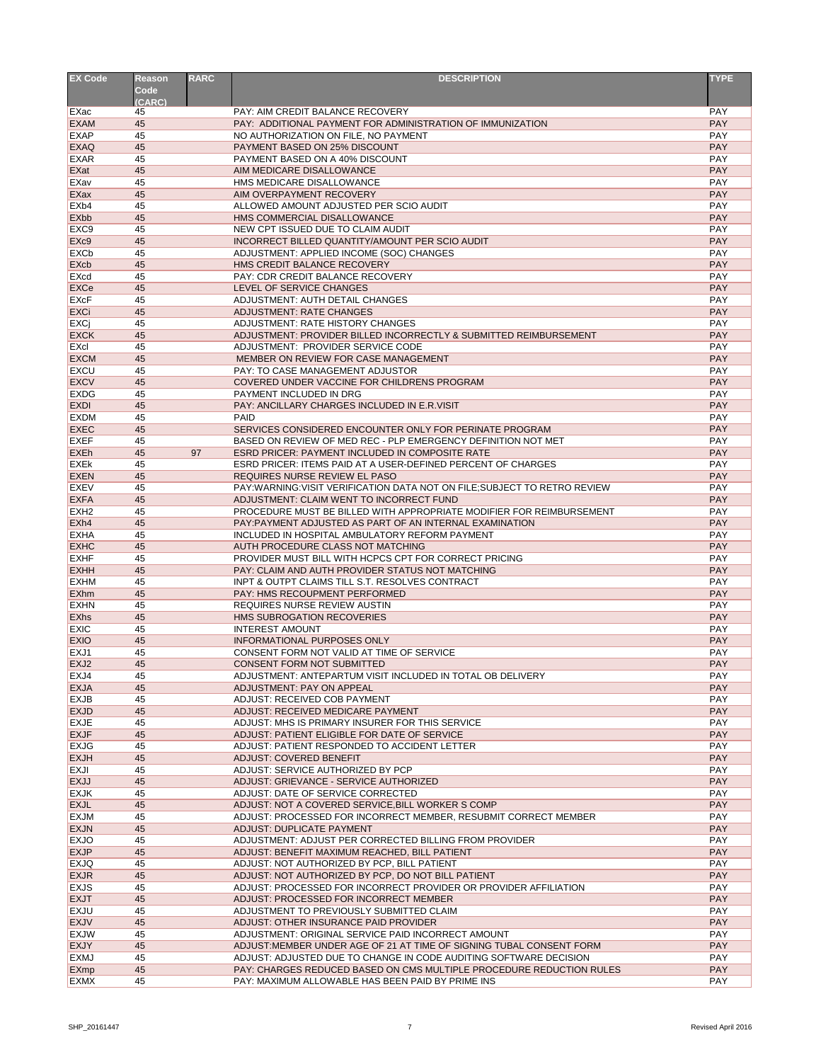| <b>EX Code</b>    | <b>Reason</b> | <b>RARC</b> | <b>DESCRIPTION</b>                                                      | <b>TYPE</b> |
|-------------------|---------------|-------------|-------------------------------------------------------------------------|-------------|
|                   | <b>Code</b>   |             |                                                                         |             |
|                   | (CARC)        |             |                                                                         |             |
| EXac              | 45            |             | PAY: AIM CREDIT BALANCE RECOVERY                                        | <b>PAY</b>  |
| <b>EXAM</b>       | 45            |             | PAY: ADDITIONAL PAYMENT FOR ADMINISTRATION OF IMMUNIZATION              | <b>PAY</b>  |
| <b>EXAP</b>       | 45            |             | NO AUTHORIZATION ON FILE, NO PAYMENT                                    | <b>PAY</b>  |
| <b>EXAQ</b>       | 45            |             | PAYMENT BASED ON 25% DISCOUNT                                           | <b>PAY</b>  |
| <b>EXAR</b>       | 45            |             | PAYMENT BASED ON A 40% DISCOUNT                                         | <b>PAY</b>  |
| EXat              | 45            |             | AIM MEDICARE DISALLOWANCE                                               | <b>PAY</b>  |
| <b>EXav</b>       | 45            |             | HMS MEDICARE DISALLOWANCE                                               | PAY         |
| EXax              | 45            |             | AIM OVERPAYMENT RECOVERY                                                | <b>PAY</b>  |
| EX <sub>b</sub> 4 | 45            |             | ALLOWED AMOUNT ADJUSTED PER SCIO AUDIT                                  | <b>PAY</b>  |
| <b>EXbb</b>       | 45            |             | HMS COMMERCIAL DISALLOWANCE                                             | <b>PAY</b>  |
| EXC <sub>9</sub>  | 45            |             | NEW CPT ISSUED DUE TO CLAIM AUDIT                                       | <b>PAY</b>  |
| EX <sub>c9</sub>  | 45            |             | INCORRECT BILLED QUANTITY/AMOUNT PER SCIO AUDIT                         | <b>PAY</b>  |
| <b>EXCb</b>       | 45            |             | ADJUSTMENT: APPLIED INCOME (SOC) CHANGES                                | <b>PAY</b>  |
| EXcb              | 45            |             | HMS CREDIT BALANCE RECOVERY                                             | <b>PAY</b>  |
| EXcd              | 45            |             | PAY: CDR CREDIT BALANCE RECOVERY                                        | <b>PAY</b>  |
| EXCe              | 45            |             | LEVEL OF SERVICE CHANGES                                                | <b>PAY</b>  |
| <b>EXcF</b>       | 45            |             | ADJUSTMENT: AUTH DETAIL CHANGES                                         | <b>PAY</b>  |
| <b>EXCi</b>       | 45            |             | <b>ADJUSTMENT: RATE CHANGES</b>                                         | <b>PAY</b>  |
| EXCj              | 45            |             | ADJUSTMENT: RATE HISTORY CHANGES                                        | <b>PAY</b>  |
| <b>EXCK</b>       | 45            |             | ADJUSTMENT: PROVIDER BILLED INCORRECTLY & SUBMITTED REIMBURSEMENT       | <b>PAY</b>  |
| EXcl              | 45            |             | ADJUSTMENT: PROVIDER SERVICE CODE                                       | <b>PAY</b>  |
| <b>EXCM</b>       | 45            |             | MEMBER ON REVIEW FOR CASE MANAGEMENT                                    | <b>PAY</b>  |
| <b>EXCU</b>       | 45            |             | PAY: TO CASE MANAGEMENT ADJUSTOR                                        | <b>PAY</b>  |
| <b>EXCV</b>       | 45            |             | COVERED UNDER VACCINE FOR CHILDRENS PROGRAM                             | <b>PAY</b>  |
| <b>EXDG</b>       | 45            |             | PAYMENT INCLUDED IN DRG                                                 | <b>PAY</b>  |
| <b>EXDI</b>       | 45            |             | PAY: ANCILLARY CHARGES INCLUDED IN E.R.VISIT                            | <b>PAY</b>  |
| <b>EXDM</b>       | 45            |             | <b>PAID</b>                                                             | <b>PAY</b>  |
| <b>EXEC</b>       | 45            |             | SERVICES CONSIDERED ENCOUNTER ONLY FOR PERINATE PROGRAM                 | <b>PAY</b>  |
| <b>EXEF</b>       | 45            |             | BASED ON REVIEW OF MED REC - PLP EMERGENCY DEFINITION NOT MET           | <b>PAY</b>  |
| <b>EXEh</b>       | 45            | 97          | <b>ESRD PRICER: PAYMENT INCLUDED IN COMPOSITE RATE</b>                  | <b>PAY</b>  |
| <b>EXEK</b>       | 45            |             | <b>ESRD PRICER: ITEMS PAID AT A USER-DEFINED PERCENT OF CHARGES</b>     | <b>PAY</b>  |
| <b>EXEN</b>       | 45            |             | REQUIRES NURSE REVIEW EL PASO                                           | <b>PAY</b>  |
| <b>EXEV</b>       | 45            |             | PAY:WARNING:VISIT VERIFICATION DATA NOT ON FILE;SUBJECT TO RETRO REVIEW | <b>PAY</b>  |
| <b>EXFA</b>       | 45            |             | ADJUSTMENT: CLAIM WENT TO INCORRECT FUND                                | <b>PAY</b>  |
| EXH <sub>2</sub>  | 45            |             | PROCEDURE MUST BE BILLED WITH APPROPRIATE MODIFIER FOR REIMBURSEMENT    | <b>PAY</b>  |
| EXh <sub>4</sub>  | 45            |             | PAY: PAYMENT ADJUSTED AS PART OF AN INTERNAL EXAMINATION                | <b>PAY</b>  |
| <b>EXHA</b>       | 45            |             | INCLUDED IN HOSPITAL AMBULATORY REFORM PAYMENT                          | <b>PAY</b>  |
| <b>EXHC</b>       | 45            |             | AUTH PROCEDURE CLASS NOT MATCHING                                       | <b>PAY</b>  |
| <b>EXHF</b>       | 45            |             | PROVIDER MUST BILL WITH HCPCS CPT FOR CORRECT PRICING                   | <b>PAY</b>  |
| <b>EXHH</b>       | 45            |             | PAY: CLAIM AND AUTH PROVIDER STATUS NOT MATCHING                        | <b>PAY</b>  |
| <b>EXHM</b>       | 45            |             | INPT & OUTPT CLAIMS TILL S.T. RESOLVES CONTRACT                         | <b>PAY</b>  |
| <b>EXhm</b>       | 45            |             | PAY: HMS RECOUPMENT PERFORMED                                           | <b>PAY</b>  |
| <b>EXHN</b>       | 45            |             | REQUIRES NURSE REVIEW AUSTIN                                            | <b>PAY</b>  |
| <b>EXhs</b>       | 45            |             | HMS SUBROGATION RECOVERIES                                              | <b>PAY</b>  |
| <b>EXIC</b>       | 45            |             | <b>INTEREST AMOUNT</b>                                                  | <b>PAY</b>  |
| <b>EXIO</b>       | 45            |             | <b>INFORMATIONAL PURPOSES ONLY</b>                                      | <b>PAY</b>  |
| EXJ1              | 45            |             | CONSENT FORM NOT VALID AT TIME OF SERVICE                               | <b>PAY</b>  |
| EXJ <sub>2</sub>  | 45            |             | CONSENT FORM NOT SUBMITTED                                              | <b>PAY</b>  |
| EXJ4              | 45            |             | ADJUSTMENT: ANTEPARTUM VISIT INCLUDED IN TOTAL OB DELIVERY              | PAY         |
| <b>EXJA</b>       | 45            |             | ADJUSTMENT: PAY ON APPEAL                                               | <b>PAY</b>  |
| <b>EXJB</b>       | 45            |             | ADJUST: RECEIVED COB PAYMENT                                            | <b>PAY</b>  |
| <b>EXJD</b>       | 45            |             | ADJUST: RECEIVED MEDICARE PAYMENT                                       | <b>PAY</b>  |
| <b>EXJE</b>       | 45            |             | ADJUST: MHS IS PRIMARY INSURER FOR THIS SERVICE                         | <b>PAY</b>  |
| <b>EXJF</b>       | 45            |             | ADJUST: PATIENT ELIGIBLE FOR DATE OF SERVICE                            | <b>PAY</b>  |
| <b>EXJG</b>       | 45            |             | ADJUST: PATIENT RESPONDED TO ACCIDENT LETTER                            | <b>PAY</b>  |
| <b>EXJH</b>       | 45            |             | <b>ADJUST: COVERED BENEFIT</b>                                          | <b>PAY</b>  |
| <b>EXJI</b>       | 45            |             | ADJUST: SERVICE AUTHORIZED BY PCP                                       | <b>PAY</b>  |
| <b>EXJJ</b>       | 45            |             | ADJUST: GRIEVANCE - SERVICE AUTHORIZED                                  | <b>PAY</b>  |
| <b>EXJK</b>       | 45            |             | ADJUST: DATE OF SERVICE CORRECTED                                       | <b>PAY</b>  |
| <b>EXJL</b>       | 45            |             | ADJUST: NOT A COVERED SERVICE, BILL WORKER S COMP                       | <b>PAY</b>  |
| <b>EXJM</b>       | 45            |             | ADJUST: PROCESSED FOR INCORRECT MEMBER, RESUBMIT CORRECT MEMBER         | <b>PAY</b>  |
| <b>EXJN</b>       | 45            |             | ADJUST: DUPLICATE PAYMENT                                               | <b>PAY</b>  |
| <b>EXJO</b>       | 45            |             | ADJUSTMENT: ADJUST PER CORRECTED BILLING FROM PROVIDER                  | <b>PAY</b>  |
| <b>EXJP</b>       | 45            |             | ADJUST: BENEFIT MAXIMUM REACHED, BILL PATIENT                           | <b>PAY</b>  |
| <b>EXJQ</b>       | 45            |             | ADJUST: NOT AUTHORIZED BY PCP, BILL PATIENT                             | <b>PAY</b>  |
| <b>EXJR</b>       | 45            |             | ADJUST: NOT AUTHORIZED BY PCP, DO NOT BILL PATIENT                      | <b>PAY</b>  |
| <b>EXJS</b>       | 45            |             | ADJUST: PROCESSED FOR INCORRECT PROVIDER OR PROVIDER AFFILIATION        | <b>PAY</b>  |
| <b>EXJT</b>       | 45            |             | ADJUST: PROCESSED FOR INCORRECT MEMBER                                  | <b>PAY</b>  |
| <b>EXJU</b>       | 45            |             | ADJUSTMENT TO PREVIOUSLY SUBMITTED CLAIM                                | <b>PAY</b>  |
| <b>EXJV</b>       | 45            |             | ADJUST: OTHER INSURANCE PAID PROVIDER                                   | <b>PAY</b>  |
| <b>EXJW</b>       | 45            |             | ADJUSTMENT: ORIGINAL SERVICE PAID INCORRECT AMOUNT                      | <b>PAY</b>  |
| <b>EXJY</b>       | 45            |             | ADJUST:MEMBER UNDER AGE OF 21 AT TIME OF SIGNING TUBAL CONSENT FORM     | <b>PAY</b>  |
| <b>EXMJ</b>       | 45            |             | ADJUST: ADJUSTED DUE TO CHANGE IN CODE AUDITING SOFTWARE DECISION       | <b>PAY</b>  |
| <b>EXmp</b>       | 45            |             | PAY: CHARGES REDUCED BASED ON CMS MULTIPLE PROCEDURE REDUCTION RULES    | <b>PAY</b>  |
| <b>EXMX</b>       | 45            |             | PAY: MAXIMUM ALLOWABLE HAS BEEN PAID BY PRIME INS                       | <b>PAY</b>  |
|                   |               |             |                                                                         |             |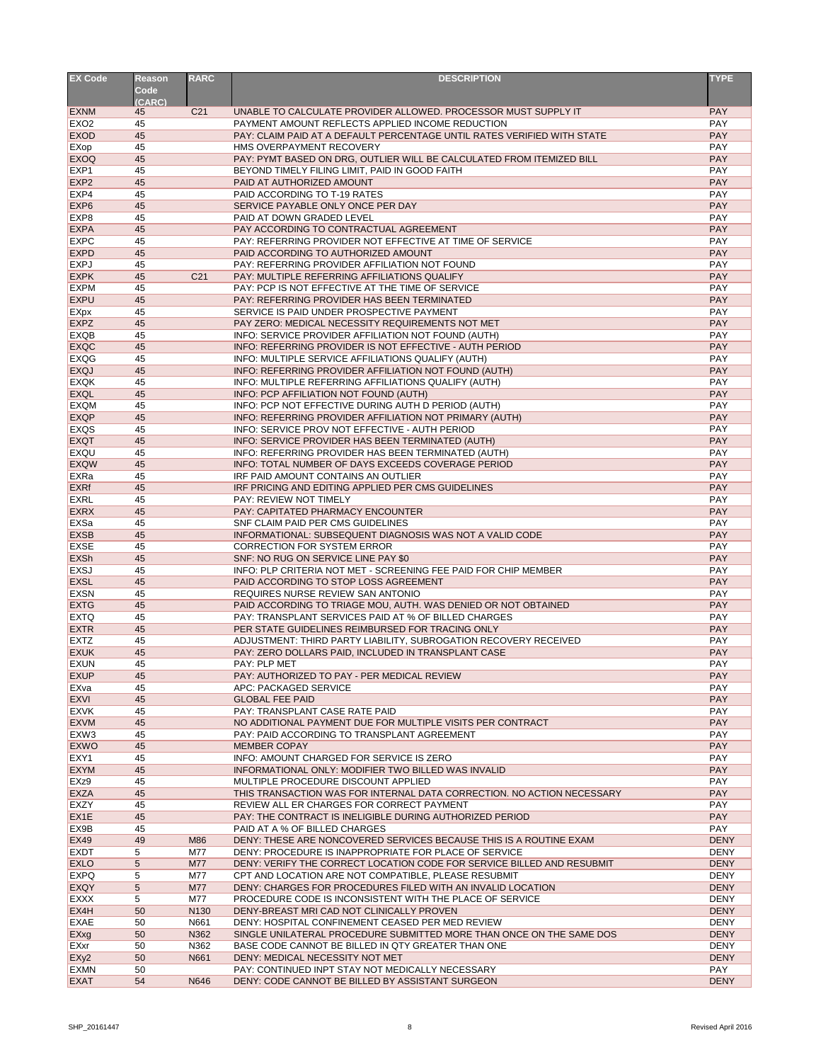| <b>EX Code</b>                  | <b>Reason</b><br><b>Code</b> | <b>RARC</b>     | <b>DESCRIPTION</b>                                                                                                         | <b>TYPE</b>                |
|---------------------------------|------------------------------|-----------------|----------------------------------------------------------------------------------------------------------------------------|----------------------------|
| <b>EXNM</b>                     | (CARC)<br>45                 | C <sub>21</sub> | UNABLE TO CALCULATE PROVIDER ALLOWED. PROCESSOR MUST SUPPLY IT                                                             | <b>PAY</b>                 |
| EX <sub>O</sub> 2               | 45                           |                 | PAYMENT AMOUNT REFLECTS APPLIED INCOME REDUCTION                                                                           | <b>PAY</b>                 |
| <b>EXOD</b>                     | 45                           |                 | PAY: CLAIM PAID AT A DEFAULT PERCENTAGE UNTIL RATES VERIFIED WITH STATE                                                    | <b>PAY</b>                 |
| EXop                            | 45                           |                 | HMS OVERPAYMENT RECOVERY                                                                                                   | <b>PAY</b>                 |
| <b>EXOQ</b>                     | 45                           |                 | PAY: PYMT BASED ON DRG, OUTLIER WILL BE CALCULATED FROM ITEMIZED BILL                                                      | <b>PAY</b>                 |
| EXP <sub>1</sub>                | 45                           |                 | BEYOND TIMELY FILING LIMIT, PAID IN GOOD FAITH                                                                             | <b>PAY</b><br><b>PAY</b>   |
| EXP <sub>2</sub><br>EXP4        | 45<br>45                     |                 | PAID AT AUTHORIZED AMOUNT<br>PAID ACCORDING TO T-19 RATES                                                                  | <b>PAY</b>                 |
| EXP <sub>6</sub>                | 45                           |                 | SERVICE PAYABLE ONLY ONCE PER DAY                                                                                          | <b>PAY</b>                 |
| EXP <sub>8</sub>                | 45                           |                 | PAID AT DOWN GRADED LEVEL                                                                                                  | PAY                        |
| <b>EXPA</b>                     | 45                           |                 | PAY ACCORDING TO CONTRACTUAL AGREEMENT                                                                                     | <b>PAY</b>                 |
| <b>EXPC</b>                     | 45                           |                 | PAY: REFERRING PROVIDER NOT EFFECTIVE AT TIME OF SERVICE                                                                   | <b>PAY</b>                 |
| <b>EXPD</b>                     | 45                           |                 | PAID ACCORDING TO AUTHORIZED AMOUNT                                                                                        | <b>PAY</b>                 |
| <b>EXPJ</b><br><b>EXPK</b>      | 45<br>45                     | C <sub>21</sub> | PAY: REFERRING PROVIDER AFFILIATION NOT FOUND<br>PAY: MULTIPLE REFERRING AFFILIATIONS QUALIFY                              | <b>PAY</b><br><b>PAY</b>   |
| <b>EXPM</b>                     | 45                           |                 | PAY: PCP IS NOT EFFECTIVE AT THE TIME OF SERVICE                                                                           | <b>PAY</b>                 |
| <b>EXPU</b>                     | 45                           |                 | PAY: REFERRING PROVIDER HAS BEEN TERMINATED                                                                                | <b>PAY</b>                 |
| <b>EXpx</b>                     | 45                           |                 | SERVICE IS PAID UNDER PROSPECTIVE PAYMENT                                                                                  | <b>PAY</b>                 |
| <b>EXPZ</b>                     | 45                           |                 | PAY ZERO: MEDICAL NECESSITY REQUIREMENTS NOT MET                                                                           | <b>PAY</b>                 |
| <b>EXQB</b>                     | 45                           |                 | INFO: SERVICE PROVIDER AFFILIATION NOT FOUND (AUTH)                                                                        | PAY                        |
| <b>EXQC</b>                     | 45                           |                 | INFO: REFERRING PROVIDER IS NOT EFFECTIVE - AUTH PERIOD                                                                    | <b>PAY</b>                 |
| <b>EXQG</b>                     | 45<br>45                     |                 | INFO: MULTIPLE SERVICE AFFILIATIONS QUALIFY (AUTH)                                                                         | <b>PAY</b><br><b>PAY</b>   |
| <b>EXQJ</b><br><b>EXQK</b>      | 45                           |                 | INFO: REFERRING PROVIDER AFFILIATION NOT FOUND (AUTH)<br>INFO: MULTIPLE REFERRING AFFILIATIONS QUALIFY (AUTH)              | <b>PAY</b>                 |
| <b>EXQL</b>                     | 45                           |                 | INFO: PCP AFFILIATION NOT FOUND (AUTH)                                                                                     | <b>PAY</b>                 |
| <b>EXQM</b>                     | 45                           |                 | INFO: PCP NOT EFFECTIVE DURING AUTH D PERIOD (AUTH)                                                                        | <b>PAY</b>                 |
| <b>EXQP</b>                     | 45                           |                 | INFO: REFERRING PROVIDER AFFILIATION NOT PRIMARY (AUTH)                                                                    | <b>PAY</b>                 |
| <b>EXQS</b>                     | 45                           |                 | INFO: SERVICE PROV NOT EFFECTIVE - AUTH PERIOD                                                                             | <b>PAY</b>                 |
| <b>EXQT</b>                     | 45                           |                 | INFO: SERVICE PROVIDER HAS BEEN TERMINATED (AUTH)                                                                          | <b>PAY</b>                 |
| <b>EXQU</b><br><b>EXQW</b>      | 45<br>45                     |                 | INFO: REFERRING PROVIDER HAS BEEN TERMINATED (AUTH)<br>INFO: TOTAL NUMBER OF DAYS EXCEEDS COVERAGE PERIOD                  | <b>PAY</b><br><b>PAY</b>   |
| EXRa                            | 45                           |                 | IRF PAID AMOUNT CONTAINS AN OUTLIER                                                                                        | <b>PAY</b>                 |
| <b>EXRf</b>                     | 45                           |                 | IRF PRICING AND EDITING APPLIED PER CMS GUIDELINES                                                                         | <b>PAY</b>                 |
| <b>EXRL</b>                     | 45                           |                 | PAY: REVIEW NOT TIMELY                                                                                                     | <b>PAY</b>                 |
| <b>EXRX</b>                     | 45                           |                 | <b>PAY: CAPITATED PHARMACY ENCOUNTER</b>                                                                                   | <b>PAY</b>                 |
| EXSa                            | 45                           |                 | SNF CLAIM PAID PER CMS GUIDELINES                                                                                          | <b>PAY</b>                 |
| <b>EXSB</b>                     | 45                           |                 | INFORMATIONAL: SUBSEQUENT DIAGNOSIS WAS NOT A VALID CODE                                                                   | <b>PAY</b>                 |
| <b>EXSE</b><br><b>EXSh</b>      | 45<br>45                     |                 | <b>CORRECTION FOR SYSTEM ERROR</b><br>SNF: NO RUG ON SERVICE LINE PAY \$0                                                  | <b>PAY</b><br><b>PAY</b>   |
| <b>EXSJ</b>                     | 45                           |                 | INFO: PLP CRITERIA NOT MET - SCREENING FEE PAID FOR CHIP MEMBER                                                            | <b>PAY</b>                 |
| <b>EXSL</b>                     | 45                           |                 | PAID ACCORDING TO STOP LOSS AGREEMENT                                                                                      | <b>PAY</b>                 |
| <b>EXSN</b>                     | 45                           |                 | REQUIRES NURSE REVIEW SAN ANTONIO                                                                                          | <b>PAY</b>                 |
| <b>EXTG</b>                     | 45                           |                 | PAID ACCORDING TO TRIAGE MOU, AUTH. WAS DENIED OR NOT OBTAINED                                                             | <b>PAY</b>                 |
| <b>EXTQ</b>                     | 45                           |                 | PAY: TRANSPLANT SERVICES PAID AT % OF BILLED CHARGES                                                                       | <b>PAY</b>                 |
| <b>EXTR</b>                     | 45                           |                 | PER STATE GUIDELINES REIMBURSED FOR TRACING ONLY                                                                           | <b>PAY</b>                 |
| <b>EXTZ</b><br><b>EXUK</b>      | 45<br>45                     |                 | ADJUSTMENT: THIRD PARTY LIABILITY, SUBROGATION RECOVERY RECEIVED<br>PAY: ZERO DOLLARS PAID, INCLUDED IN TRANSPLANT CASE    | <b>PAY</b><br><b>PAY</b>   |
| <b>EXUN</b>                     | 45                           |                 | PAY: PLP MET                                                                                                               | <b>PAY</b>                 |
| <b>EXUP</b>                     | 45                           |                 | PAY: AUTHORIZED TO PAY - PER MEDICAL REVIEW                                                                                | <b>PAY</b>                 |
| EXva                            | 45                           |                 | APC: PACKAGED SERVICE                                                                                                      | <b>PAY</b>                 |
| <b>EXVI</b>                     | 45                           |                 | <b>GLOBAL FEE PAID</b>                                                                                                     | <b>PAY</b>                 |
| <b>EXVK</b>                     | 45                           |                 | PAY: TRANSPLANT CASE RATE PAID                                                                                             | <b>PAY</b>                 |
| <b>EXVM</b>                     | 45                           |                 | NO ADDITIONAL PAYMENT DUE FOR MULTIPLE VISITS PER CONTRACT                                                                 | <b>PAY</b>                 |
| EXW <sub>3</sub><br><b>EXWO</b> | 45<br>45                     |                 | PAY: PAID ACCORDING TO TRANSPLANT AGREEMENT<br><b>MEMBER COPAY</b>                                                         | <b>PAY</b><br><b>PAY</b>   |
| EXY1                            | 45                           |                 | INFO: AMOUNT CHARGED FOR SERVICE IS ZERO                                                                                   | <b>PAY</b>                 |
| <b>EXYM</b>                     | 45                           |                 | INFORMATIONAL ONLY: MODIFIER TWO BILLED WAS INVALID                                                                        | <b>PAY</b>                 |
| EXz9                            | 45                           |                 | MULTIPLE PROCEDURE DISCOUNT APPLIED                                                                                        | <b>PAY</b>                 |
| <b>EXZA</b>                     | 45                           |                 | THIS TRANSACTION WAS FOR INTERNAL DATA CORRECTION. NO ACTION NECESSARY                                                     | <b>PAY</b>                 |
| <b>EXZY</b>                     | 45                           |                 | REVIEW ALL ER CHARGES FOR CORRECT PAYMENT                                                                                  | <b>PAY</b>                 |
| EX <sub>1</sub> E               | 45                           |                 | PAY: THE CONTRACT IS INELIGIBLE DURING AUTHORIZED PERIOD                                                                   | <b>PAY</b>                 |
| EX9B<br><b>EX49</b>             | 45<br>49                     | M86             | PAID AT A % OF BILLED CHARGES<br>DENY: THESE ARE NONCOVERED SERVICES BECAUSE THIS IS A ROUTINE EXAM                        | <b>PAY</b><br><b>DENY</b>  |
| <b>EXDT</b>                     | 5                            | M77             | DENY: PROCEDURE IS INAPPROPRIATE FOR PLACE OF SERVICE                                                                      | <b>DENY</b>                |
| <b>EXLO</b>                     | 5                            | <b>M77</b>      | DENY: VERIFY THE CORRECT LOCATION CODE FOR SERVICE BILLED AND RESUBMIT                                                     | <b>DENY</b>                |
| <b>EXPQ</b>                     | 5                            | M77             | CPT AND LOCATION ARE NOT COMPATIBLE, PLEASE RESUBMIT                                                                       | <b>DENY</b>                |
| <b>EXQY</b>                     | 5                            | M77             | DENY: CHARGES FOR PROCEDURES FILED WITH AN INVALID LOCATION                                                                | <b>DENY</b>                |
| <b>EXXX</b>                     | 5                            | M77             | PROCEDURE CODE IS INCONSISTENT WITH THE PLACE OF SERVICE                                                                   | <b>DENY</b>                |
| EX4H                            | 50                           | N130            | DENY-BREAST MRI CAD NOT CLINICALLY PROVEN                                                                                  | <b>DENY</b>                |
| <b>EXAE</b>                     | 50                           | N661            | DENY: HOSPITAL CONFINEMENT CEASED PER MED REVIEW                                                                           | <b>DENY</b>                |
| EXxg<br>EXxr                    | 50<br>50                     | N362<br>N362    | SINGLE UNILATERAL PROCEDURE SUBMITTED MORE THAN ONCE ON THE SAME DOS<br>BASE CODE CANNOT BE BILLED IN QTY GREATER THAN ONE | <b>DENY</b><br><b>DENY</b> |
| EXy <sub>2</sub>                | 50                           | N661            | DENY: MEDICAL NECESSITY NOT MET                                                                                            | <b>DENY</b>                |
| <b>EXMN</b>                     | 50                           |                 | PAY: CONTINUED INPT STAY NOT MEDICALLY NECESSARY                                                                           | <b>PAY</b>                 |
| <b>EXAT</b>                     | 54                           | N646            | DENY: CODE CANNOT BE BILLED BY ASSISTANT SURGEON                                                                           | <b>DENY</b>                |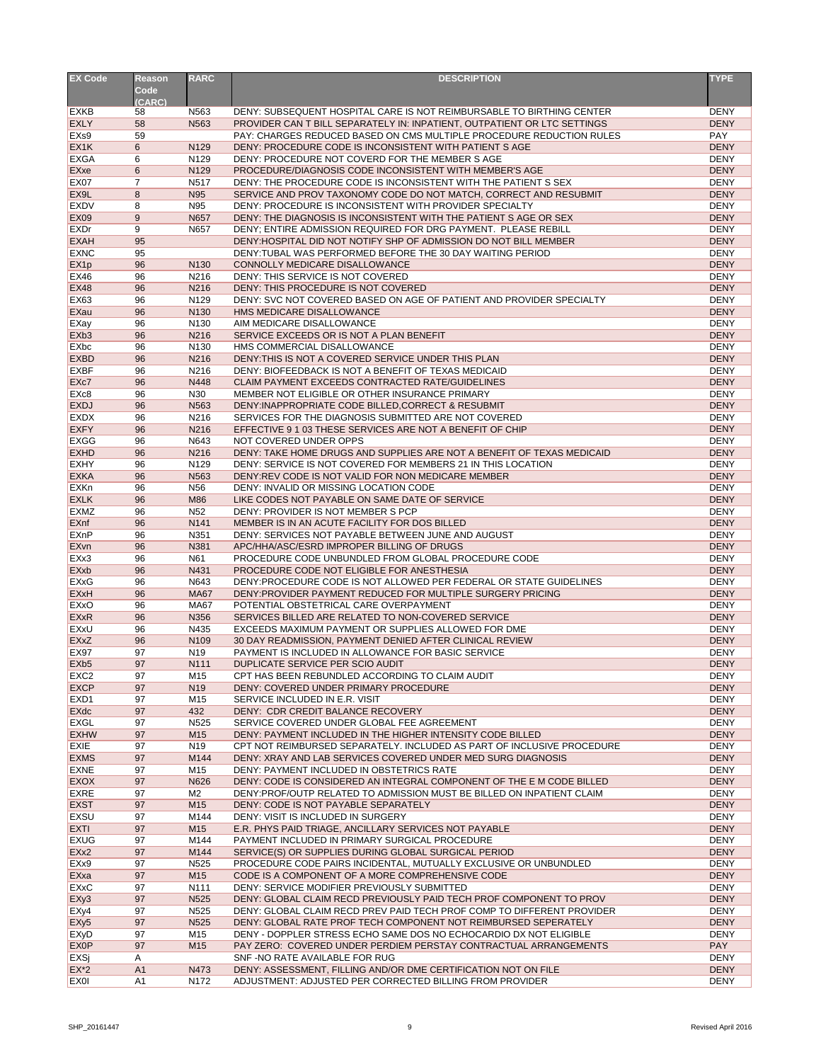| <b>EX Code</b>             | <b>Reason</b><br>Code | <b>RARC</b>            | <b>DESCRIPTION</b>                                                                                                                               | <b>TYPE</b>                |
|----------------------------|-----------------------|------------------------|--------------------------------------------------------------------------------------------------------------------------------------------------|----------------------------|
|                            | (CARC)                |                        |                                                                                                                                                  | <b>DENY</b>                |
| <b>EXKB</b><br><b>EXLY</b> | 58                    | N563                   | DENY: SUBSEQUENT HOSPITAL CARE IS NOT REIMBURSABLE TO BIRTHING CENTER                                                                            |                            |
| EX <sub>s9</sub>           | 58<br>59              | N <sub>563</sub>       | PROVIDER CAN T BILL SEPARATELY IN: INPATIENT, OUTPATIENT OR LTC SETTINGS<br>PAY: CHARGES REDUCED BASED ON CMS MULTIPLE PROCEDURE REDUCTION RULES | <b>DENY</b><br><b>PAY</b>  |
| EX <sub>1</sub> K          | 6                     | N129                   | DENY: PROCEDURE CODE IS INCONSISTENT WITH PATIENT S AGE                                                                                          | <b>DENY</b>                |
| <b>EXGA</b>                | 6                     | N <sub>129</sub>       | DENY: PROCEDURE NOT COVERD FOR THE MEMBER S AGE                                                                                                  | <b>DENY</b>                |
| EXxe                       | 6                     | N129                   | PROCEDURE/DIAGNOSIS CODE INCONSISTENT WITH MEMBER'S AGE                                                                                          | <b>DENY</b>                |
| <b>EX07</b>                | $\overline{7}$        | N517                   | DENY: THE PROCEDURE CODE IS INCONSISTENT WITH THE PATIENT S SEX                                                                                  | <b>DENY</b>                |
| EX9L                       | 8                     | N95                    | SERVICE AND PROV TAXONOMY CODE DO NOT MATCH, CORRECT AND RESUBMIT                                                                                | <b>DENY</b>                |
| <b>EXDV</b>                | 8                     | N95                    | DENY: PROCEDURE IS INCONSISTENT WITH PROVIDER SPECIALTY                                                                                          | <b>DENY</b>                |
| <b>EX09</b>                | 9                     | N657                   | DENY: THE DIAGNOSIS IS INCONSISTENT WITH THE PATIENT S AGE OR SEX                                                                                | <b>DENY</b>                |
| <b>EXDr</b>                | 9                     | N657                   | DENY; ENTIRE ADMISSION REQUIRED FOR DRG PAYMENT. PLEASE REBILL                                                                                   | <b>DENY</b>                |
| <b>EXAH</b>                | 95                    |                        | DENY: HOSPITAL DID NOT NOTIFY SHP OF ADMISSION DO NOT BILL MEMBER                                                                                | <b>DENY</b>                |
| <b>EXNC</b>                | 95                    |                        | DENY: TUBAL WAS PERFORMED BEFORE THE 30 DAY WAITING PERIOD                                                                                       | <b>DENY</b>                |
| EX <sub>1p</sub>           | 96                    | N130                   | CONNOLLY MEDICARE DISALLOWANCE                                                                                                                   | <b>DENY</b>                |
| <b>EX46</b>                | 96                    | N216                   | DENY: THIS SERVICE IS NOT COVERED                                                                                                                | <b>DENY</b>                |
| <b>EX48</b>                | 96                    | N216                   | DENY: THIS PROCEDURE IS NOT COVERED                                                                                                              | <b>DENY</b>                |
| <b>EX63</b>                | 96                    | N129                   | DENY: SVC NOT COVERED BASED ON AGE OF PATIENT AND PROVIDER SPECIALTY                                                                             | <b>DENY</b>                |
| EXau                       | 96                    | N <sub>130</sub>       | HMS MEDICARE DISALLOWANCE                                                                                                                        | <b>DENY</b>                |
| EXay                       | 96                    | N <sub>130</sub>       | AIM MEDICARE DISALLOWANCE                                                                                                                        | <b>DENY</b>                |
| EX <sub>b</sub> 3          | 96                    | N216                   | SERVICE EXCEEDS OR IS NOT A PLAN BENEFIT                                                                                                         | <b>DENY</b>                |
| <b>EXbc</b>                | 96                    | N130                   | HMS COMMERCIAL DISALLOWANCE                                                                                                                      | <b>DENY</b>                |
| <b>EXBD</b>                | 96                    | N216                   | DENY: THIS IS NOT A COVERED SERVICE UNDER THIS PLAN                                                                                              | <b>DENY</b>                |
| <b>EXBF</b>                | 96                    | N216                   | DENY: BIOFEEDBACK IS NOT A BENEFIT OF TEXAS MEDICAID                                                                                             | <b>DENY</b>                |
| EX <sub>c</sub> 7          | 96                    | N448                   | CLAIM PAYMENT EXCEEDS CONTRACTED RATE/GUIDELINES                                                                                                 | <b>DENY</b>                |
| EX <sub>c</sub> 8          | 96                    | N30                    | MEMBER NOT ELIGIBLE OR OTHER INSURANCE PRIMARY                                                                                                   | <b>DENY</b>                |
| <b>EXDJ</b>                | 96                    | N563                   | DENY: INAPPROPRIATE CODE BILLED, CORRECT & RESUBMIT                                                                                              | <b>DENY</b>                |
| <b>EXDX</b>                | 96                    | N216                   | SERVICES FOR THE DIAGNOSIS SUBMITTED ARE NOT COVERED                                                                                             | <b>DENY</b>                |
| <b>EXFY</b>                | 96                    | N216                   | EFFECTIVE 9 1 03 THESE SERVICES ARE NOT A BENEFIT OF CHIP                                                                                        | <b>DENY</b>                |
| <b>EXGG</b>                | 96                    | N643                   | NOT COVERED UNDER OPPS                                                                                                                           | <b>DENY</b>                |
| <b>EXHD</b>                | 96                    | N216                   | DENY: TAKE HOME DRUGS AND SUPPLIES ARE NOT A BENEFIT OF TEXAS MEDICAID                                                                           | <b>DENY</b>                |
| <b>EXHY</b>                | 96                    | N129                   | DENY: SERVICE IS NOT COVERED FOR MEMBERS 21 IN THIS LOCATION                                                                                     | <b>DENY</b>                |
| <b>EXKA</b>                | 96                    | N <sub>563</sub>       | DENY:REV CODE IS NOT VALID FOR NON MEDICARE MEMBER                                                                                               | <b>DENY</b>                |
| <b>EXKn</b>                | 96                    | N <sub>56</sub>        | DENY: INVALID OR MISSING LOCATION CODE                                                                                                           | <b>DENY</b>                |
| <b>EXLK</b>                | 96                    | M86                    | LIKE CODES NOT PAYABLE ON SAME DATE OF SERVICE                                                                                                   | <b>DENY</b>                |
| <b>EXMZ</b>                | 96                    | N <sub>52</sub>        | DENY: PROVIDER IS NOT MEMBER S PCP                                                                                                               | <b>DENY</b>                |
| EXnf                       | 96                    | N141                   | MEMBER IS IN AN ACUTE FACILITY FOR DOS BILLED                                                                                                    | <b>DENY</b>                |
| EXnP                       | 96                    | N351                   | DENY: SERVICES NOT PAYABLE BETWEEN JUNE AND AUGUST                                                                                               | <b>DENY</b>                |
| <b>EXvn</b>                | 96                    | N381                   | APC/HHA/ASC/ESRD IMPROPER BILLING OF DRUGS                                                                                                       | <b>DENY</b>                |
| EXx3                       | 96                    | N61                    | PROCEDURE CODE UNBUNDLED FROM GLOBAL PROCEDURE CODE                                                                                              | <b>DENY</b>                |
| <b>EXxb</b>                | 96                    | N431                   | PROCEDURE CODE NOT ELIGIBLE FOR ANESTHESIA                                                                                                       | <b>DENY</b>                |
| <b>EXxG</b>                | 96                    | N643                   | DENY: PROCEDURE CODE IS NOT ALLOWED PER FEDERAL OR STATE GUIDELINES                                                                              | <b>DENY</b>                |
| <b>EXxH</b>                | 96                    | <b>MA67</b>            | DENY: PROVIDER PAYMENT REDUCED FOR MULTIPLE SURGERY PRICING                                                                                      | <b>DENY</b>                |
| <b>EXxO</b>                | 96                    | <b>MA67</b>            | POTENTIAL OBSTETRICAL CARE OVERPAYMENT                                                                                                           | <b>DENY</b>                |
| <b>EXxR</b>                | 96                    | N356                   | SERVICES BILLED ARE RELATED TO NON-COVERED SERVICE                                                                                               | <b>DENY</b>                |
| <b>EXxU</b>                | 96                    | N435                   | EXCEEDS MAXIMUM PAYMENT OR SUPPLIES ALLOWED FOR DME                                                                                              | <b>DENY</b>                |
| <b>EXxZ</b>                | 96                    | N <sub>109</sub>       | 30 DAY READMISSION, PAYMENT DENIED AFTER CLINICAL REVIEW                                                                                         | <b>DENY</b>                |
| <b>EX97</b>                | 97                    | N <sub>19</sub>        | PAYMENT IS INCLUDED IN ALLOWANCE FOR BASIC SERVICE                                                                                               | <b>DENY</b>                |
| EX <sub>b5</sub>           | 97                    | N111                   | DUPLICATE SERVICE PER SCIO AUDIT                                                                                                                 | <b>DENY</b>                |
| EXC <sub>2</sub>           |                       |                        |                                                                                                                                                  |                            |
| <b>EXCP</b>                | 97<br>97              | M15<br>N <sub>19</sub> | CPT HAS BEEN REBUNDLED ACCORDING TO CLAIM AUDIT<br>DENY: COVERED UNDER PRIMARY PROCEDURE                                                         | <b>DENY</b><br><b>DENY</b> |
| EXD <sub>1</sub>           | 97                    | M15                    | SERVICE INCLUDED IN E.R. VISIT                                                                                                                   | <b>DENY</b>                |
|                            | 97                    | 432                    | DENY: CDR CREDIT BALANCE RECOVERY                                                                                                                | <b>DENY</b>                |
| <b>EXdc</b><br><b>EXGL</b> | 97                    | N <sub>525</sub>       | SERVICE COVERED UNDER GLOBAL FEE AGREEMENT                                                                                                       | <b>DENY</b>                |
| <b>EXHW</b>                | 97                    | M15                    | DENY: PAYMENT INCLUDED IN THE HIGHER INTENSITY CODE BILLED                                                                                       | <b>DENY</b>                |
| <b>EXIE</b>                | 97                    | N <sub>19</sub>        | CPT NOT REIMBURSED SEPARATELY. INCLUDED AS PART OF INCLUSIVE PROCEDURE                                                                           | <b>DENY</b>                |
| <b>EXMS</b>                | 97                    | M144                   | DENY: XRAY AND LAB SERVICES COVERED UNDER MED SURG DIAGNOSIS                                                                                     | <b>DENY</b>                |
| <b>EXNE</b>                | 97                    | M15                    | DENY: PAYMENT INCLUDED IN OBSTETRICS RATE                                                                                                        | <b>DENY</b>                |
| <b>EXOX</b>                | 97                    | N626                   | DENY: CODE IS CONSIDERED AN INTEGRAL COMPONENT OF THE E M CODE BILLED                                                                            | <b>DENY</b>                |
| <b>EXRE</b>                | 97                    | M2                     | DENY: PROF/OUTP RELATED TO ADMISSION MUST BE BILLED ON INPATIENT CLAIM                                                                           | <b>DENY</b>                |
| <b>EXST</b>                | 97                    | M <sub>15</sub>        | DENY: CODE IS NOT PAYABLE SEPARATELY                                                                                                             | <b>DENY</b>                |
|                            |                       |                        |                                                                                                                                                  | <b>DENY</b>                |
| <b>EXSU</b><br><b>EXTI</b> | 97<br>97              | M144<br>M15            | DENY: VISIT IS INCLUDED IN SURGERY<br>E.R. PHYS PAID TRIAGE, ANCILLARY SERVICES NOT PAYABLE                                                      | <b>DENY</b>                |
| <b>EXUG</b>                | 97                    | M144                   | PAYMENT INCLUDED IN PRIMARY SURGICAL PROCEDURE                                                                                                   | <b>DENY</b>                |
|                            |                       |                        |                                                                                                                                                  |                            |
| EXx2                       | 97                    | M144                   | SERVICE(S) OR SUPPLIES DURING GLOBAL SURGICAL PERIOD                                                                                             | <b>DENY</b>                |
| EXx9                       | 97                    | N <sub>525</sub>       | PROCEDURE CODE PAIRS INCIDENTAL, MUTUALLY EXCLUSIVE OR UNBUNDLED                                                                                 | <b>DENY</b>                |
| EXxa                       | 97                    | M15                    | CODE IS A COMPONENT OF A MORE COMPREHENSIVE CODE                                                                                                 | <b>DENY</b>                |
| <b>EXxC</b>                | 97                    | N <sub>111</sub>       | DENY: SERVICE MODIFIER PREVIOUSLY SUBMITTED                                                                                                      | <b>DENY</b>                |
| EXy3                       | 97                    | N <sub>525</sub>       | DENY: GLOBAL CLAIM RECD PREVIOUSLY PAID TECH PROF COMPONENT TO PROV                                                                              | <b>DENY</b>                |
| EXy4                       | 97                    | N <sub>525</sub>       | DENY: GLOBAL CLAIM RECD PREV PAID TECH PROF COMP TO DIFFERENT PROVIDER                                                                           | <b>DENY</b>                |
| EXy <sub>5</sub>           | 97                    | N525                   | DENY: GLOBAL RATE PROF TECH COMPONENT NOT REIMBURSED SEPERATELY                                                                                  | <b>DENY</b>                |
| <b>EXyD</b>                | 97                    | M15                    | DENY - DOPPLER STRESS ECHO SAME DOS NO ECHOCARDIO DX NOT ELIGIBLE                                                                                | <b>DENY</b>                |
| <b>EXOP</b>                | 97                    | M15                    | PAY ZERO: COVERED UNDER PERDIEM PERSTAY CONTRACTUAL ARRANGEMENTS                                                                                 | <b>PAY</b>                 |
| EXSj<br>$EX^*2$            | A<br>A1               |                        | SNF-NO RATE AVAILABLE FOR RUG<br>DENY: ASSESSMENT, FILLING AND/OR DME CERTIFICATION NOT ON FILE                                                  | <b>DENY</b><br><b>DENY</b> |
|                            |                       | N473                   | ADJUSTMENT: ADJUSTED PER CORRECTED BILLING FROM PROVIDER                                                                                         |                            |
| <b>EXOI</b>                | A1                    | N172                   |                                                                                                                                                  | <b>DENY</b>                |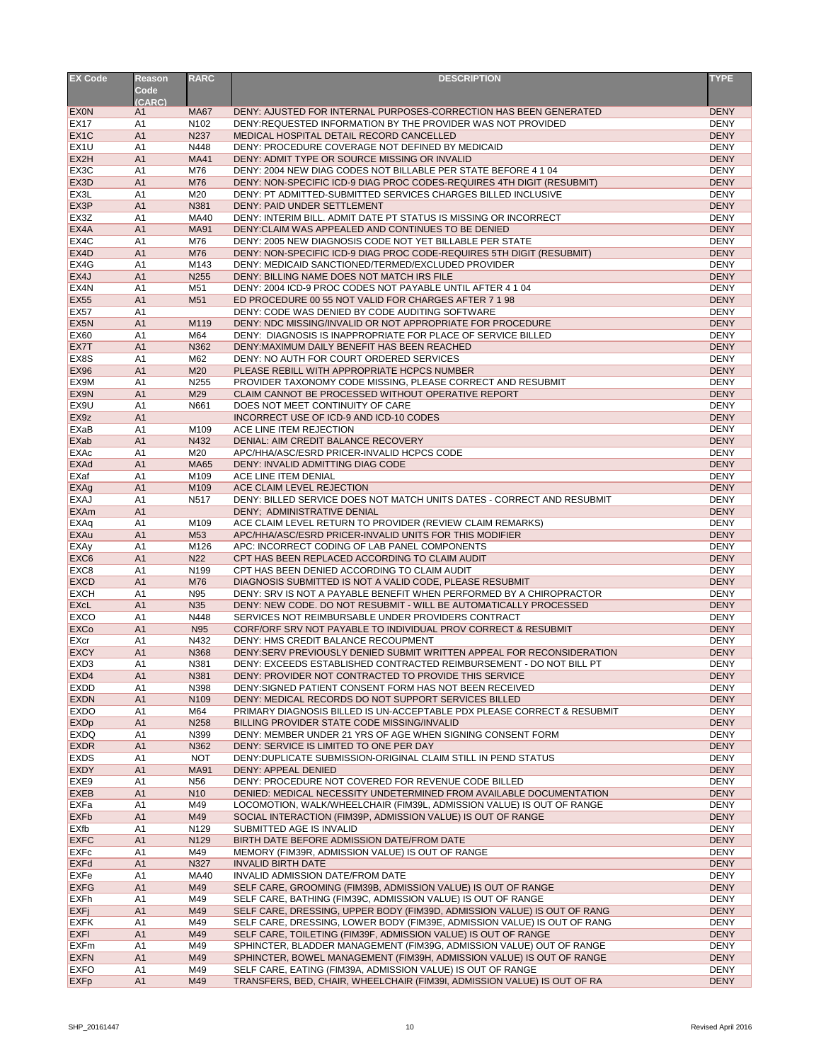| <b>EX Code</b>                       | <b>Reason</b><br>Code            | <b>RARC</b>                     | <b>DESCRIPTION</b>                                                                                                                           | <b>TYPE</b>                |
|--------------------------------------|----------------------------------|---------------------------------|----------------------------------------------------------------------------------------------------------------------------------------------|----------------------------|
| <b>EXON</b>                          | (CARC)                           |                                 | DENY: AJUSTED FOR INTERNAL PURPOSES-CORRECTION HAS BEEN GENERATED                                                                            | <b>DENY</b>                |
| <b>EX17</b>                          | A1<br>A <sub>1</sub>             | <b>MA67</b><br>N <sub>102</sub> | DENY: REQUESTED INFORMATION BY THE PROVIDER WAS NOT PROVIDED                                                                                 | <b>DENY</b>                |
| EX <sub>1</sub> C                    | A <sub>1</sub>                   | N237                            | MEDICAL HOSPITAL DETAIL RECORD CANCELLED                                                                                                     | <b>DENY</b>                |
| EX <sub>1U</sub>                     | A <sub>1</sub>                   | N448                            | DENY: PROCEDURE COVERAGE NOT DEFINED BY MEDICAID                                                                                             | <b>DENY</b>                |
| EX2H                                 | A1                               | <b>MA41</b>                     | DENY: ADMIT TYPE OR SOURCE MISSING OR INVALID                                                                                                | <b>DENY</b>                |
| EX <sub>3</sub> C                    | A <sub>1</sub>                   | M76                             | DENY: 2004 NEW DIAG CODES NOT BILLABLE PER STATE BEFORE 4 1 04                                                                               | <b>DENY</b>                |
| EX3D                                 | A1                               | M76                             | DENY: NON-SPECIFIC ICD-9 DIAG PROC CODES-REQUIRES 4TH DIGIT (RESUBMIT)                                                                       | <b>DENY</b>                |
| EX3L                                 | A1                               | M20                             | DENY: PT ADMITTED-SUBMITTED SERVICES CHARGES BILLED INCLUSIVE                                                                                | <b>DENY</b>                |
| EX3P                                 | A1                               | N381                            | DENY: PAID UNDER SETTLEMENT                                                                                                                  | <b>DENY</b>                |
| EX <sub>3</sub> Z                    | A1                               | <b>MA40</b>                     | DENY: INTERIM BILL. ADMIT DATE PT STATUS IS MISSING OR INCORRECT                                                                             | <b>DENY</b>                |
| EX4A                                 | A <sub>1</sub>                   | <b>MA91</b>                     | DENY: CLAIM WAS APPEALED AND CONTINUES TO BE DENIED                                                                                          | <b>DENY</b>                |
| EX4C                                 | A1                               | M76                             | DENY: 2005 NEW DIAGNOSIS CODE NOT YET BILLABLE PER STATE                                                                                     | <b>DENY</b>                |
| EX4D                                 | A <sub>1</sub>                   | M76                             | DENY: NON-SPECIFIC ICD-9 DIAG PROC CODE-REQUIRES 5TH DIGIT (RESUBMIT)                                                                        | <b>DENY</b>                |
| EX4G                                 | A <sub>1</sub>                   | M143                            | DENY: MEDICAID SANCTIONED/TERMED/EXCLUDED PROVIDER                                                                                           | <b>DENY</b>                |
| EX4J                                 | A <sub>1</sub>                   | N255                            | DENY: BILLING NAME DOES NOT MATCH IRS FILE                                                                                                   | <b>DENY</b>                |
| EX4N                                 | A <sub>1</sub><br>A <sub>1</sub> | M51<br>M51                      | DENY: 2004 ICD-9 PROC CODES NOT PAYABLE UNTIL AFTER 4 1 04<br>ED PROCEDURE 00 55 NOT VALID FOR CHARGES AFTER 7 1 98                          | <b>DENY</b><br><b>DENY</b> |
| <b>EX55</b><br><b>EX57</b>           | A <sub>1</sub>                   |                                 | DENY: CODE WAS DENIED BY CODE AUDITING SOFTWARE                                                                                              | <b>DENY</b>                |
| EX <sub>5</sub> N                    | A <sub>1</sub>                   | M119                            | DENY: NDC MISSING/INVALID OR NOT APPROPRIATE FOR PROCEDURE                                                                                   | <b>DENY</b>                |
| <b>EX60</b>                          | A <sub>1</sub>                   | M64                             | DENY: DIAGNOSIS IS INAPPROPRIATE FOR PLACE OF SERVICE BILLED                                                                                 | <b>DENY</b>                |
| EX7T                                 | A <sub>1</sub>                   | N362                            | DENY: MAXIMUM DAILY BENEFIT HAS BEEN REACHED                                                                                                 | <b>DENY</b>                |
| EX8S                                 | A <sub>1</sub>                   | M62                             | DENY: NO AUTH FOR COURT ORDERED SERVICES                                                                                                     | <b>DENY</b>                |
| <b>EX96</b>                          | A <sub>1</sub>                   | M20                             | PLEASE REBILL WITH APPROPRIATE HCPCS NUMBER                                                                                                  | <b>DENY</b>                |
| EX9M                                 | A <sub>1</sub>                   | N255                            | PROVIDER TAXONOMY CODE MISSING, PLEASE CORRECT AND RESUBMIT                                                                                  | <b>DENY</b>                |
| EX9N                                 | A <sub>1</sub>                   | M29                             | CLAIM CANNOT BE PROCESSED WITHOUT OPERATIVE REPORT                                                                                           | <b>DENY</b>                |
| EX9U                                 | A <sub>1</sub>                   | N661                            | DOES NOT MEET CONTINUITY OF CARE                                                                                                             | <b>DENY</b>                |
| EX9z                                 | A1                               |                                 | INCORRECT USE OF ICD-9 AND ICD-10 CODES                                                                                                      | <b>DENY</b>                |
| <b>EXaB</b>                          | A1                               | M109                            | ACE LINE ITEM REJECTION                                                                                                                      | <b>DENY</b>                |
| <b>EXab</b>                          | A1                               | N432                            | DENIAL: AIM CREDIT BALANCE RECOVERY                                                                                                          | <b>DENY</b>                |
| <b>EXAc</b>                          | A <sub>1</sub>                   | M20                             | APC/HHA/ASC/ESRD PRICER-INVALID HCPCS CODE                                                                                                   | <b>DENY</b>                |
| <b>EXAd</b>                          | A1                               | <b>MA65</b>                     | DENY: INVALID ADMITTING DIAG CODE                                                                                                            | <b>DENY</b>                |
| EXaf                                 | A1                               | M109                            | ACE LINE ITEM DENIAL                                                                                                                         | <b>DENY</b>                |
| <b>EXAg</b>                          | A <sub>1</sub>                   | M109                            | ACE CLAIM LEVEL REJECTION                                                                                                                    | <b>DENY</b>                |
| <b>EXAJ</b>                          | A1                               | N517                            | DENY: BILLED SERVICE DOES NOT MATCH UNITS DATES - CORRECT AND RESUBMIT                                                                       | <b>DENY</b>                |
| <b>EXAm</b>                          | A1                               |                                 | DENY; ADMINISTRATIVE DENIAL                                                                                                                  | <b>DENY</b>                |
| <b>EXAq</b>                          | A1                               | M109                            | ACE CLAIM LEVEL RETURN TO PROVIDER (REVIEW CLAIM REMARKS)                                                                                    | <b>DENY</b>                |
| <b>EXAu</b>                          | A <sub>1</sub>                   | M53                             | APC/HHA/ASC/ESRD PRICER-INVALID UNITS FOR THIS MODIFIER                                                                                      | <b>DENY</b>                |
| <b>EXAy</b>                          | A1                               | M126                            | APC: INCORRECT CODING OF LAB PANEL COMPONENTS                                                                                                | <b>DENY</b><br><b>DENY</b> |
| EXC <sub>6</sub><br>EXC <sub>8</sub> | A1<br>A1                         | N22<br>N199                     | CPT HAS BEEN REPLACED ACCORDING TO CLAIM AUDIT<br>CPT HAS BEEN DENIED ACCORDING TO CLAIM AUDIT                                               | <b>DENY</b>                |
| <b>EXCD</b>                          | A <sub>1</sub>                   | M76                             | DIAGNOSIS SUBMITTED IS NOT A VALID CODE, PLEASE RESUBMIT                                                                                     | <b>DENY</b>                |
| <b>EXCH</b>                          | A <sub>1</sub>                   | N95                             | DENY: SRV IS NOT A PAYABLE BENEFIT WHEN PERFORMED BY A CHIROPRACTOR                                                                          | <b>DENY</b>                |
| <b>EXcL</b>                          | A <sub>1</sub>                   | N35                             | DENY: NEW CODE. DO NOT RESUBMIT - WILL BE AUTOMATICALLY PROCESSED                                                                            | <b>DENY</b>                |
| <b>EXCO</b>                          | A <sub>1</sub>                   | N448                            | SERVICES NOT REIMBURSABLE UNDER PROVIDERS CONTRACT                                                                                           | <b>DENY</b>                |
| <b>EXCo</b>                          | A <sub>1</sub>                   | N95                             | CORF/ORF SRV NOT PAYABLE TO INDIVIDUAL PROV CORRECT & RESUBMIT                                                                               | <b>DENY</b>                |
| EXcr                                 | A <sub>1</sub>                   | N432                            | DENY: HMS CREDIT BALANCE RECOUPMENT                                                                                                          | <b>DENY</b>                |
| <b>EXCY</b>                          | A <sub>1</sub>                   | N368                            | DENY:SERV PREVIOUSLY DENIED SUBMIT WRITTEN APPEAL FOR RECONSIDERATION                                                                        | <b>DENY</b>                |
| EXD <sub>3</sub>                     | A <sub>1</sub>                   | N381                            | DENY: EXCEEDS ESTABLISHED CONTRACTED REIMBURSEMENT - DO NOT BILL PT                                                                          | <b>DENY</b>                |
| EXD4                                 | A <sub>1</sub>                   | N381                            | DENY: PROVIDER NOT CONTRACTED TO PROVIDE THIS SERVICE                                                                                        | <b>DENY</b>                |
| <b>EXDD</b>                          | A <sub>1</sub>                   | N398                            | DENY: SIGNED PATIENT CONSENT FORM HAS NOT BEEN RECEIVED                                                                                      | <b>DENY</b>                |
| <b>EXDN</b>                          | A <sub>1</sub>                   | N109                            | DENY: MEDICAL RECORDS DO NOT SUPPORT SERVICES BILLED                                                                                         | <b>DENY</b>                |
| <b>EXDO</b>                          | A1                               | M64                             | PRIMARY DIAGNOSIS BILLED IS UN-ACCEPTABLE PDX PLEASE CORRECT & RESUBMIT                                                                      | <b>DENY</b>                |
| <b>EXDp</b>                          | A1                               | N258                            | BILLING PROVIDER STATE CODE MISSING/INVALID                                                                                                  | <b>DENY</b>                |
| <b>EXDQ</b>                          | A1                               | N399                            | DENY: MEMBER UNDER 21 YRS OF AGE WHEN SIGNING CONSENT FORM                                                                                   | <b>DENY</b>                |
| <b>EXDR</b>                          | A1                               | N362                            | DENY: SERVICE IS LIMITED TO ONE PER DAY                                                                                                      | <b>DENY</b>                |
| <b>EXDS</b>                          | A1                               | <b>NOT</b>                      | DENY: DUPLICATE SUBMISSION-ORIGINAL CLAIM STILL IN PEND STATUS                                                                               | <b>DENY</b>                |
| <b>EXDY</b>                          | A1                               | <b>MA91</b>                     | <b>DENY: APPEAL DENIED</b>                                                                                                                   | <b>DENY</b>                |
| EXE9                                 | A1                               | N <sub>56</sub>                 | DENY: PROCEDURE NOT COVERED FOR REVENUE CODE BILLED                                                                                          | <b>DENY</b>                |
| <b>EXEB</b><br><b>EXFa</b>           | A1<br>A <sub>1</sub>             | N <sub>10</sub><br>M49          | DENIED: MEDICAL NECESSITY UNDETERMINED FROM AVAILABLE DOCUMENTATION<br>LOCOMOTION, WALK/WHEELCHAIR (FIM39L, ADMISSION VALUE) IS OUT OF RANGE | <b>DENY</b><br><b>DENY</b> |
| <b>EXFb</b>                          | A1                               | M49                             | SOCIAL INTERACTION (FIM39P, ADMISSION VALUE) IS OUT OF RANGE                                                                                 | <b>DENY</b>                |
| <b>EXfb</b>                          | A1                               | N129                            | SUBMITTED AGE IS INVALID                                                                                                                     | <b>DENY</b>                |
| <b>EXFC</b>                          | A1                               | N129                            | BIRTH DATE BEFORE ADMISSION DATE/FROM DATE                                                                                                   | <b>DENY</b>                |
| <b>EXFc</b>                          | A <sub>1</sub>                   | M49                             | MEMORY (FIM39R, ADMISSION VALUE) IS OUT OF RANGE                                                                                             | <b>DENY</b>                |
| <b>EXFd</b>                          | A1                               | N327                            | <b>INVALID BIRTH DATE</b>                                                                                                                    | <b>DENY</b>                |
| <b>EXFe</b>                          | A <sub>1</sub>                   | <b>MA40</b>                     | INVALID ADMISSION DATE/FROM DATE                                                                                                             | <b>DENY</b>                |
| <b>EXFG</b>                          | A <sub>1</sub>                   | M49                             | SELF CARE, GROOMING (FIM39B, ADMISSION VALUE) IS OUT OF RANGE                                                                                | <b>DENY</b>                |
| <b>EXFh</b>                          | A1                               | M49                             | SELF CARE, BATHING (FIM39C, ADMISSION VALUE) IS OUT OF RANGE                                                                                 | <b>DENY</b>                |
| <b>EXFj</b>                          | A <sub>1</sub>                   | M49                             | SELF CARE, DRESSING, UPPER BODY (FIM39D, ADMISSION VALUE) IS OUT OF RANG                                                                     | <b>DENY</b>                |
| <b>EXFK</b>                          | A <sub>1</sub>                   | M49                             | SELF CARE, DRESSING, LOWER BODY (FIM39E, ADMISSION VALUE) IS OUT OF RANG                                                                     | <b>DENY</b>                |
| <b>EXFI</b>                          | A <sub>1</sub>                   | M49                             | SELF CARE, TOILETING (FIM39F, ADMISSION VALUE) IS OUT OF RANGE                                                                               | <b>DENY</b>                |
| <b>EXFm</b>                          | A <sub>1</sub>                   | M49                             | SPHINCTER, BLADDER MANAGEMENT (FIM39G, ADMISSION VALUE) OUT OF RANGE                                                                         | <b>DENY</b>                |
| <b>EXFN</b>                          | A <sub>1</sub>                   | M49                             | SPHINCTER, BOWEL MANAGEMENT (FIM39H, ADMISSION VALUE) IS OUT OF RANGE                                                                        | <b>DENY</b>                |
| <b>EXFO</b>                          | A <sub>1</sub>                   | M49                             | SELF CARE, EATING (FIM39A, ADMISSION VALUE) IS OUT OF RANGE                                                                                  | <b>DENY</b>                |
| <b>EXFp</b>                          | A1                               | M49                             | TRANSFERS, BED, CHAIR, WHEELCHAIR (FIM39I, ADMISSION VALUE) IS OUT OF RA                                                                     | <b>DENY</b>                |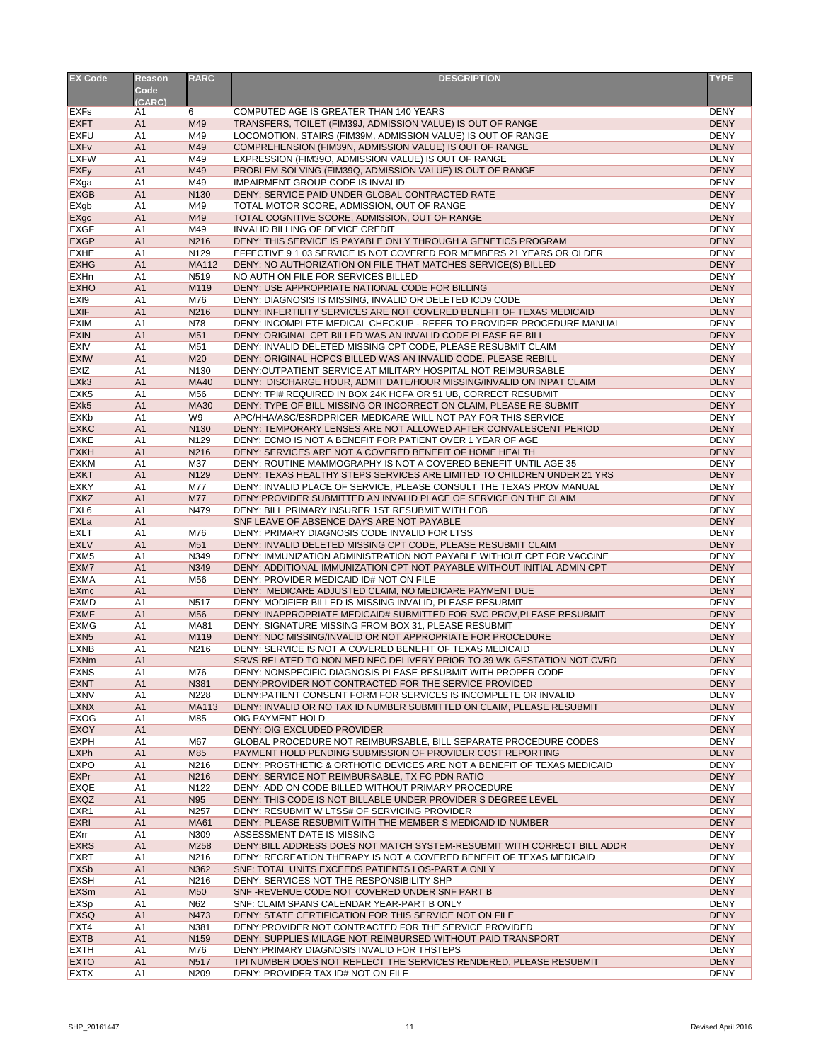| <b>EX Code</b>             | <b>Reason</b><br>Code            | <b>RARC</b>       | <b>DESCRIPTION</b>                                                                                                                    | <b>TYPE</b>                |
|----------------------------|----------------------------------|-------------------|---------------------------------------------------------------------------------------------------------------------------------------|----------------------------|
|                            | (CARC)                           |                   |                                                                                                                                       |                            |
| <b>EXFs</b>                | A1                               | 6                 | COMPUTED AGE IS GREATER THAN 140 YEARS                                                                                                | <b>DENY</b>                |
| <b>EXFT</b><br><b>EXFU</b> | A1<br>A1                         | M49<br>M49        | TRANSFERS, TOILET (FIM39J, ADMISSION VALUE) IS OUT OF RANGE<br>LOCOMOTION, STAIRS (FIM39M, ADMISSION VALUE) IS OUT OF RANGE           | <b>DENY</b><br><b>DENY</b> |
| <b>EXFv</b>                | A1                               | M49               | COMPREHENSION (FIM39N, ADMISSION VALUE) IS OUT OF RANGE                                                                               | <b>DENY</b>                |
| <b>EXFW</b>                | A <sub>1</sub>                   | M49               | EXPRESSION (FIM39O, ADMISSION VALUE) IS OUT OF RANGE                                                                                  | <b>DENY</b>                |
| <b>EXFy</b>                | A1                               | M49               | PROBLEM SOLVING (FIM39Q, ADMISSION VALUE) IS OUT OF RANGE                                                                             | <b>DENY</b>                |
| EXga                       | A1                               | M49               | <b>IMPAIRMENT GROUP CODE IS INVALID</b>                                                                                               | <b>DENY</b>                |
| <b>EXGB</b>                | A1                               | N <sub>130</sub>  | DENY: SERVICE PAID UNDER GLOBAL CONTRACTED RATE                                                                                       | <b>DENY</b>                |
| <b>EXgb</b>                | A1                               | M49               | TOTAL MOTOR SCORE, ADMISSION, OUT OF RANGE                                                                                            | <b>DENY</b>                |
| EXgc<br><b>EXGF</b>        | A <sub>1</sub><br>A1             | M49<br>M49        | TOTAL COGNITIVE SCORE, ADMISSION, OUT OF RANGE                                                                                        | <b>DENY</b><br><b>DENY</b> |
| <b>EXGP</b>                | A <sub>1</sub>                   | N216              | <b>INVALID BILLING OF DEVICE CREDIT</b><br>DENY: THIS SERVICE IS PAYABLE ONLY THROUGH A GENETICS PROGRAM                              | <b>DENY</b>                |
| <b>EXHE</b>                | A <sub>1</sub>                   | N129              | EFFECTIVE 9 1 03 SERVICE IS NOT COVERED FOR MEMBERS 21 YEARS OR OLDER                                                                 | <b>DENY</b>                |
| <b>EXHG</b>                | A <sub>1</sub>                   | <b>MA112</b>      | DENY: NO AUTHORIZATION ON FILE THAT MATCHES SERVICE(S) BILLED                                                                         | <b>DENY</b>                |
| <b>EXHn</b>                | A <sub>1</sub>                   | N <sub>5</sub> 19 | NO AUTH ON FILE FOR SERVICES BILLED                                                                                                   | <b>DENY</b>                |
| <b>EXHO</b>                | A <sub>1</sub>                   | M119              | DENY: USE APPROPRIATE NATIONAL CODE FOR BILLING                                                                                       | <b>DENY</b>                |
| EX <sub>I9</sub>           | A <sub>1</sub>                   | M76               | DENY: DIAGNOSIS IS MISSING, INVALID OR DELETED ICD9 CODE                                                                              | <b>DENY</b>                |
| <b>EXIF</b>                | A <sub>1</sub>                   | N216              | DENY: INFERTILITY SERVICES ARE NOT COVERED BENEFIT OF TEXAS MEDICAID                                                                  | <b>DENY</b>                |
| <b>EXIM</b><br><b>EXIN</b> | A <sub>1</sub><br>A <sub>1</sub> | N78<br>M51        | DENY: INCOMPLETE MEDICAL CHECKUP - REFER TO PROVIDER PROCEDURE MANUAL<br>DENY: ORIGINAL CPT BILLED WAS AN INVALID CODE PLEASE RE-BILL | <b>DENY</b><br><b>DENY</b> |
| <b>EXIV</b>                | A <sub>1</sub>                   | M51               | DENY: INVALID DELETED MISSING CPT CODE, PLEASE RESUBMIT CLAIM                                                                         | <b>DENY</b>                |
| <b>EXIW</b>                | A <sub>1</sub>                   | M20               | DENY: ORIGINAL HCPCS BILLED WAS AN INVALID CODE. PLEASE REBILL                                                                        | <b>DENY</b>                |
| <b>EXIZ</b>                | A <sub>1</sub>                   | N130              | DENY: OUTPATIENT SERVICE AT MILITARY HOSPITAL NOT REIMBURSABLE                                                                        | <b>DENY</b>                |
| EXk3                       | A <sub>1</sub>                   | <b>MA40</b>       | DENY: DISCHARGE HOUR, ADMIT DATE/HOUR MISSING/INVALID ON INPAT CLAIM                                                                  | <b>DENY</b>                |
| EXK <sub>5</sub>           | A <sub>1</sub>                   | M56               | DENY: TPI# REQUIRED IN BOX 24K HCFA OR 51 UB, CORRECT RESUBMIT                                                                        | <b>DENY</b>                |
| EXk5                       | A <sub>1</sub>                   | <b>MA30</b>       | DENY: TYPE OF BILL MISSING OR INCORRECT ON CLAIM, PLEASE RE-SUBMIT                                                                    | <b>DENY</b>                |
| <b>EXKb</b><br><b>EXKC</b> | A <sub>1</sub><br>A <sub>1</sub> | W9<br>N130        | APC/HHA/ASC/ESRDPRICER-MEDICARE WILL NOT PAY FOR THIS SERVICE<br>DENY: TEMPORARY LENSES ARE NOT ALLOWED AFTER CONVALESCENT PERIOD     | <b>DENY</b><br><b>DENY</b> |
| <b>EXKE</b>                | A1                               | N129              | DENY: ECMO IS NOT A BENEFIT FOR PATIENT OVER 1 YEAR OF AGE                                                                            | <b>DENY</b>                |
| <b>EXKH</b>                | A1                               | N216              | DENY: SERVICES ARE NOT A COVERED BENEFIT OF HOME HEALTH                                                                               | <b>DENY</b>                |
| <b>EXKM</b>                | A1                               | M37               | DENY: ROUTINE MAMMOGRAPHY IS NOT A COVERED BENEFIT UNTIL AGE 35                                                                       | <b>DENY</b>                |
| <b>EXKT</b>                | A1                               | N129              | DENY: TEXAS HEALTHY STEPS SERVICES ARE LIMITED TO CHILDREN UNDER 21 YRS                                                               | <b>DENY</b>                |
| <b>EXKY</b>                | A1                               | M77               | DENY: INVALID PLACE OF SERVICE, PLEASE CONSULT THE TEXAS PROV MANUAL                                                                  | <b>DENY</b>                |
| <b>EXKZ</b>                | A <sub>1</sub>                   | <b>M77</b>        | DENY: PROVIDER SUBMITTED AN INVALID PLACE OF SERVICE ON THE CLAIM                                                                     | <b>DENY</b>                |
| EXL <sub>6</sub><br>EXLa   | A <sub>1</sub><br>A1             | N479              | DENY: BILL PRIMARY INSURER 1ST RESUBMIT WITH EOB<br>SNF LEAVE OF ABSENCE DAYS ARE NOT PAYABLE                                         | <b>DENY</b><br><b>DENY</b> |
| <b>EXLT</b>                | A1                               | M76               | DENY: PRIMARY DIAGNOSIS CODE INVALID FOR LTSS                                                                                         | <b>DENY</b>                |
| <b>EXLV</b>                | A1                               | M51               | DENY: INVALID DELETED MISSING CPT CODE, PLEASE RESUBMIT CLAIM                                                                         | <b>DENY</b>                |
| EXM <sub>5</sub>           | A1                               | N349              | DENY: IMMUNIZATION ADMINISTRATION NOT PAYABLE WITHOUT CPT FOR VACCINE                                                                 | <b>DENY</b>                |
| EXM7                       | A <sub>1</sub>                   | N349              | DENY: ADDITIONAL IMMUNIZATION CPT NOT PAYABLE WITHOUT INITIAL ADMIN CPT                                                               | <b>DENY</b>                |
| <b>EXMA</b>                | A <sub>1</sub>                   | M56               | DENY: PROVIDER MEDICAID ID# NOT ON FILE                                                                                               | <b>DENY</b>                |
| <b>EXmc</b><br><b>EXMD</b> | A <sub>1</sub><br>A <sub>1</sub> | N517              | DENY: MEDICARE ADJUSTED CLAIM, NO MEDICARE PAYMENT DUE<br>DENY: MODIFIER BILLED IS MISSING INVALID, PLEASE RESUBMIT                   | <b>DENY</b><br><b>DENY</b> |
| <b>EXMF</b>                | A <sub>1</sub>                   | M56               | DENY: INAPPROPRIATE MEDICAID# SUBMITTED FOR SVC PROV, PLEASE RESUBMIT                                                                 | <b>DENY</b>                |
| <b>EXMG</b>                | A <sub>1</sub>                   | <b>MA81</b>       | DENY: SIGNATURE MISSING FROM BOX 31, PLEASE RESUBMIT                                                                                  | <b>DENY</b>                |
| EXN <sub>5</sub>           | A <sub>1</sub>                   | M119              | DENY: NDC MISSING/INVALID OR NOT APPROPRIATE FOR PROCEDURE                                                                            | <b>DENY</b>                |
| <b>EXNB</b>                | A <sub>1</sub>                   | N216              | DENY: SERVICE IS NOT A COVERED BENEFIT OF TEXAS MEDICAID                                                                              | <b>DENY</b>                |
| <b>EXNm</b>                | A <sub>1</sub>                   |                   | SRVS RELATED TO NON MED NEC DELIVERY PRIOR TO 39 WK GESTATION NOT CVRD                                                                | <b>DENY</b>                |
| <b>EXNS</b>                | A <sub>1</sub>                   | M76               | DENY: NONSPECIFIC DIAGNOSIS PLEASE RESUBMIT WITH PROPER CODE                                                                          | <b>DENY</b>                |
| <b>EXNT</b><br><b>EXNV</b> | A <sub>1</sub><br>A <sub>1</sub> | N381<br>N228      | DENY: PROVIDER NOT CONTRACTED FOR THE SERVICE PROVIDED<br>DENY: PATIENT CONSENT FORM FOR SERVICES IS INCOMPLETE OR INVALID            | <b>DENY</b><br><b>DENY</b> |
| <b>EXNX</b>                | A <sub>1</sub>                   | <b>MA113</b>      | DENY: INVALID OR NO TAX ID NUMBER SUBMITTED ON CLAIM, PLEASE RESUBMIT                                                                 | <b>DENY</b>                |
| <b>EXOG</b>                | A <sub>1</sub>                   | M85               | OIG PAYMENT HOLD                                                                                                                      | <b>DENY</b>                |
| <b>EXOY</b>                | A <sub>1</sub>                   |                   | DENY: OIG EXCLUDED PROVIDER                                                                                                           | <b>DENY</b>                |
| <b>EXPH</b>                | A <sub>1</sub>                   | M67               | GLOBAL PROCEDURE NOT REIMBURSABLE, BILL SEPARATE PROCEDURE CODES                                                                      | <b>DENY</b>                |
| <b>EXPh</b>                | A1                               | M85               | PAYMENT HOLD PENDING SUBMISSION OF PROVIDER COST REPORTING                                                                            | <b>DENY</b>                |
| <b>EXPO</b><br><b>EXPr</b> | A1<br>A1                         | N216<br>N216      | DENY: PROSTHETIC & ORTHOTIC DEVICES ARE NOT A BENEFIT OF TEXAS MEDICAID<br>DENY: SERVICE NOT REIMBURSABLE, TX FC PDN RATIO            | <b>DENY</b><br><b>DENY</b> |
| <b>EXQE</b>                | A <sub>1</sub>                   | N <sub>122</sub>  | DENY: ADD ON CODE BILLED WITHOUT PRIMARY PROCEDURE                                                                                    | <b>DENY</b>                |
| <b>EXQZ</b>                | A1                               | N95               | DENY: THIS CODE IS NOT BILLABLE UNDER PROVIDER S DEGREE LEVEL                                                                         | <b>DENY</b>                |
| EXR <sub>1</sub>           | A1                               | N257              | DENY: RESUBMIT W LTSS# OF SERVICING PROVIDER                                                                                          | <b>DENY</b>                |
| <b>EXRI</b>                | A1                               | <b>MA61</b>       | DENY: PLEASE RESUBMIT WITH THE MEMBER S MEDICAID ID NUMBER                                                                            | <b>DENY</b>                |
| <b>EXrr</b>                | A <sub>1</sub>                   | N309              | ASSESSMENT DATE IS MISSING                                                                                                            | <b>DENY</b>                |
| <b>EXRS</b>                | A <sub>1</sub>                   | M258              | DENY: BILL ADDRESS DOES NOT MATCH SYSTEM-RESUBMIT WITH CORRECT BILL ADDR                                                              | <b>DENY</b>                |
| <b>EXRT</b><br><b>EXSb</b> | A1<br>A <sub>1</sub>             | N216<br>N362      | DENY: RECREATION THERAPY IS NOT A COVERED BENEFIT OF TEXAS MEDICAID<br>SNF: TOTAL UNITS EXCEEDS PATIENTS LOS-PART A ONLY              | <b>DENY</b><br><b>DENY</b> |
| <b>EXSH</b>                | A <sub>1</sub>                   | N216              | DENY: SERVICES NOT THE RESPONSIBILITY SHP                                                                                             | <b>DENY</b>                |
| <b>EXSm</b>                | A <sub>1</sub>                   | M <sub>50</sub>   | SNF-REVENUE CODE NOT COVERED UNDER SNF PART B                                                                                         | <b>DENY</b>                |
| <b>EXSp</b>                | A <sub>1</sub>                   | N62               | SNF: CLAIM SPANS CALENDAR YEAR-PART B ONLY                                                                                            | <b>DENY</b>                |
| <b>EXSQ</b>                | A1                               | N473              | DENY: STATE CERTIFICATION FOR THIS SERVICE NOT ON FILE                                                                                | <b>DENY</b>                |
| EXT4                       | A <sub>1</sub>                   | N381              | DENY: PROVIDER NOT CONTRACTED FOR THE SERVICE PROVIDED                                                                                | <b>DENY</b>                |
| <b>EXTB</b>                | A <sub>1</sub>                   | N159              | DENY: SUPPLIES MILAGE NOT REIMBURSED WITHOUT PAID TRANSPORT                                                                           | <b>DENY</b>                |
| <b>EXTH</b>                | A <sub>1</sub>                   | M76               | DENY: PRIMARY DIAGNOSIS INVALID FOR THSTEPS                                                                                           | <b>DENY</b><br><b>DENY</b> |
| <b>EXTO</b><br><b>EXTX</b> | A <sub>1</sub><br>A1             | N517<br>N209      | TPI NUMBER DOES NOT REFLECT THE SERVICES RENDERED, PLEASE RESUBMIT<br>DENY: PROVIDER TAX ID# NOT ON FILE                              | <b>DENY</b>                |
|                            |                                  |                   |                                                                                                                                       |                            |